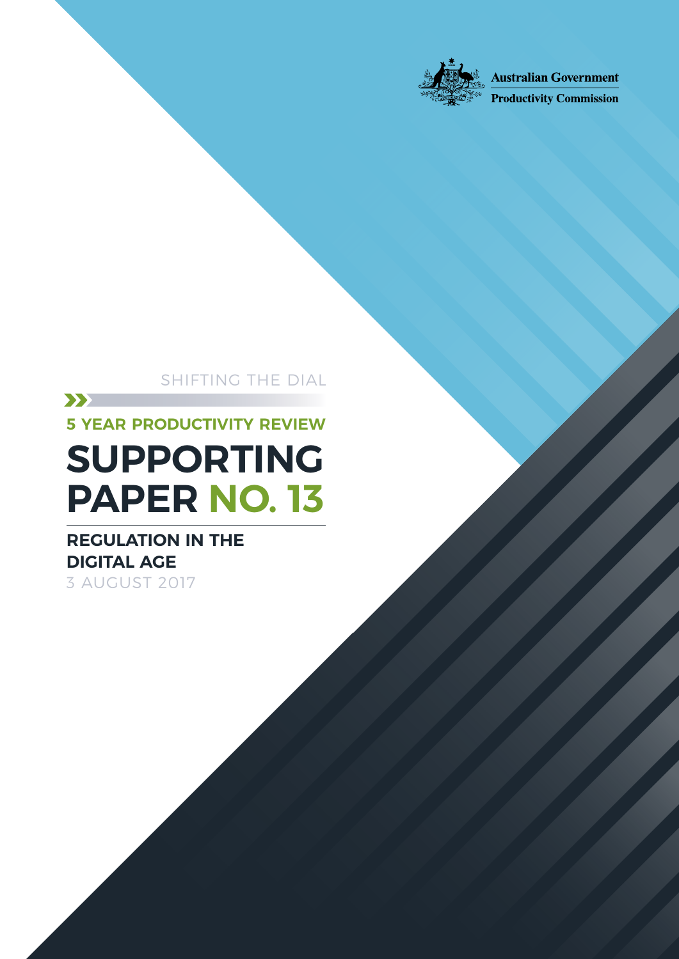

**Australian Government** 

**Productivity Commission** 

# SHIFTING THE DIAL  $\sum$ **5 YEAR PRODUCTIVITY REVIEW SUPPORTING PAPER NO. 13**

# **REGULATION IN THE DIGITAL AGE** 3 AUGUST 2017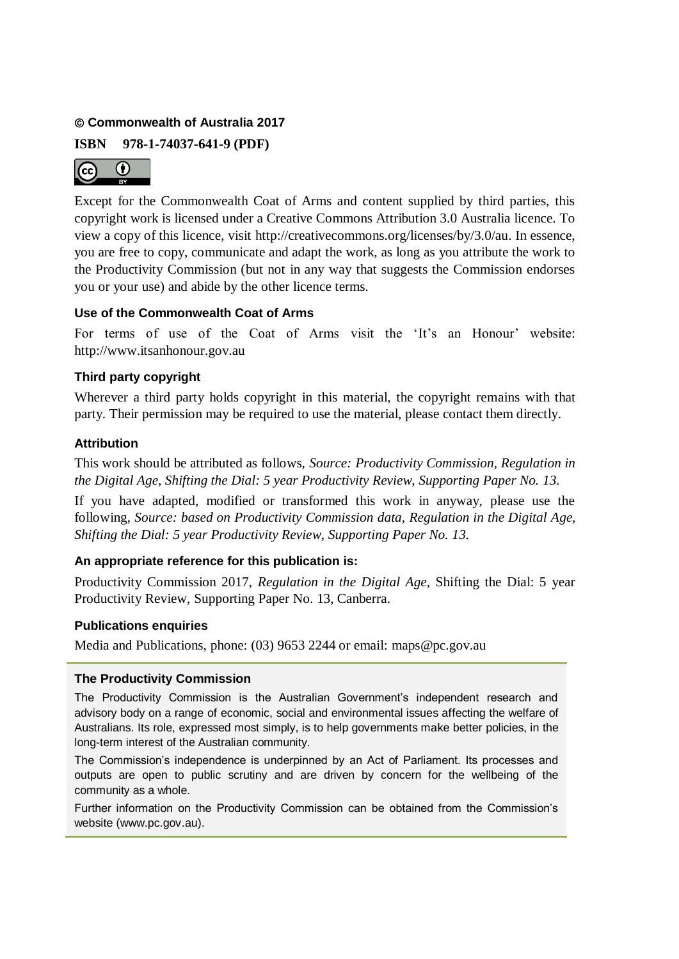### **Commonwealth of Australia 2017**

**ISBN 978-1-74037-641-9 (PDF)**



Except for the Commonwealth Coat of Arms and content supplied by third parties, this copyright work is licensed under a Creative Commons Attribution 3.0 Australia licence. To view a copy of this licence, visit http://creativecommons.org/licenses/by/3.0/au. In essence, you are free to copy, communicate and adapt the work, as long as you attribute the work to the Productivity Commission (but not in any way that suggests the Commission endorses you or your use) and abide by the other licence terms.

### **Use of the Commonwealth Coat of Arms**

For terms of use of the Coat of Arms visit the 'It's an Honour' website: http://www.itsanhonour.gov.au

### **Third party copyright**

Wherever a third party holds copyright in this material, the copyright remains with that party. Their permission may be required to use the material, please contact them directly.

### **Attribution**

This work should be attributed as follows, *Source: Productivity Commission, Regulation in the Digital Age, Shifting the Dial: 5 year Productivity Review*, *Supporting Paper No. 13.*

If you have adapted, modified or transformed this work in anyway, please use the following, *Source: based on Productivity Commission data, Regulation in the Digital Age, Shifting the Dial: 5 year Productivity Review*, *Supporting Paper No. 13.*

### **An appropriate reference for this publication is:**

Productivity Commission 2017, *Regulation in the Digital Age,* Shifting the Dial: 5 year Productivity Review, Supporting Paper No. 13, Canberra.

### **Publications enquiries**

Media and Publications, phone: (03) 9653 2244 or email: maps@pc.gov.au

### **The Productivity Commission**

The Productivity Commission is the Australian Government's independent research and advisory body on a range of economic, social and environmental issues affecting the welfare of Australians. Its role, expressed most simply, is to help governments make better policies, in the long-term interest of the Australian community.

The Commission's independence is underpinned by an Act of Parliament. Its processes and outputs are open to public scrutiny and are driven by concern for the wellbeing of the community as a whole.

Further information on the Productivity Commission can be obtained from the Commission's website (www.pc.gov.au).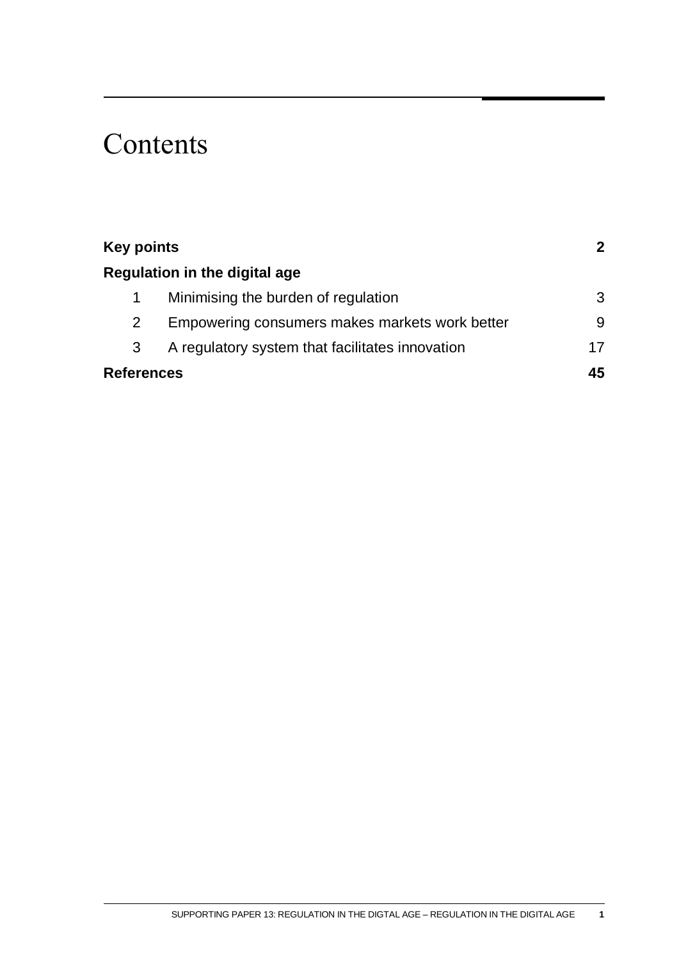# **Contents**

| <b>Key points</b><br>Regulation in the digital age |                                                 |    |
|----------------------------------------------------|-------------------------------------------------|----|
|                                                    |                                                 |    |
|                                                    | Minimising the burden of regulation             | 3  |
| 2                                                  | Empowering consumers makes markets work better  | 9  |
| 3                                                  | A regulatory system that facilitates innovation | 17 |
| <b>References</b>                                  |                                                 | 45 |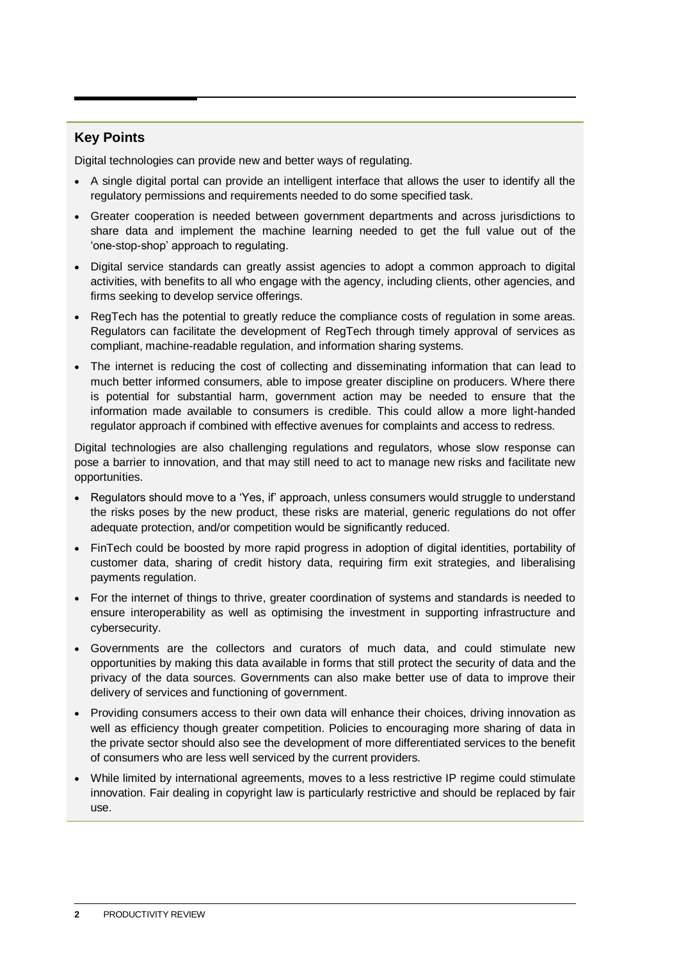### <span id="page-3-0"></span>**Key Points**

Digital technologies can provide new and better ways of regulating.

- A single digital portal can provide an intelligent interface that allows the user to identify all the regulatory permissions and requirements needed to do some specified task.
- Greater cooperation is needed between government departments and across jurisdictions to share data and implement the machine learning needed to get the full value out of the 'one-stop-shop' approach to regulating.
- Digital service standards can greatly assist agencies to adopt a common approach to digital activities, with benefits to all who engage with the agency, including clients, other agencies, and firms seeking to develop service offerings.
- RegTech has the potential to greatly reduce the compliance costs of regulation in some areas. Regulators can facilitate the development of RegTech through timely approval of services as compliant, machine-readable regulation, and information sharing systems.
- The internet is reducing the cost of collecting and disseminating information that can lead to much better informed consumers, able to impose greater discipline on producers. Where there is potential for substantial harm, government action may be needed to ensure that the information made available to consumers is credible. This could allow a more light-handed regulator approach if combined with effective avenues for complaints and access to redress.

Digital technologies are also challenging regulations and regulators, whose slow response can pose a barrier to innovation, and that may still need to act to manage new risks and facilitate new opportunities.

- Regulators should move to a 'Yes, if' approach, unless consumers would struggle to understand the risks poses by the new product, these risks are material, generic regulations do not offer adequate protection, and/or competition would be significantly reduced.
- FinTech could be boosted by more rapid progress in adoption of digital identities, portability of customer data, sharing of credit history data, requiring firm exit strategies, and liberalising payments regulation.
- For the internet of things to thrive, greater coordination of systems and standards is needed to ensure interoperability as well as optimising the investment in supporting infrastructure and cybersecurity.
- Governments are the collectors and curators of much data, and could stimulate new opportunities by making this data available in forms that still protect the security of data and the privacy of the data sources. Governments can also make better use of data to improve their delivery of services and functioning of government.
- Providing consumers access to their own data will enhance their choices, driving innovation as well as efficiency though greater competition. Policies to encouraging more sharing of data in the private sector should also see the development of more differentiated services to the benefit of consumers who are less well serviced by the current providers.
- While limited by international agreements, moves to a less restrictive IP regime could stimulate innovation. Fair dealing in copyright law is particularly restrictive and should be replaced by fair use.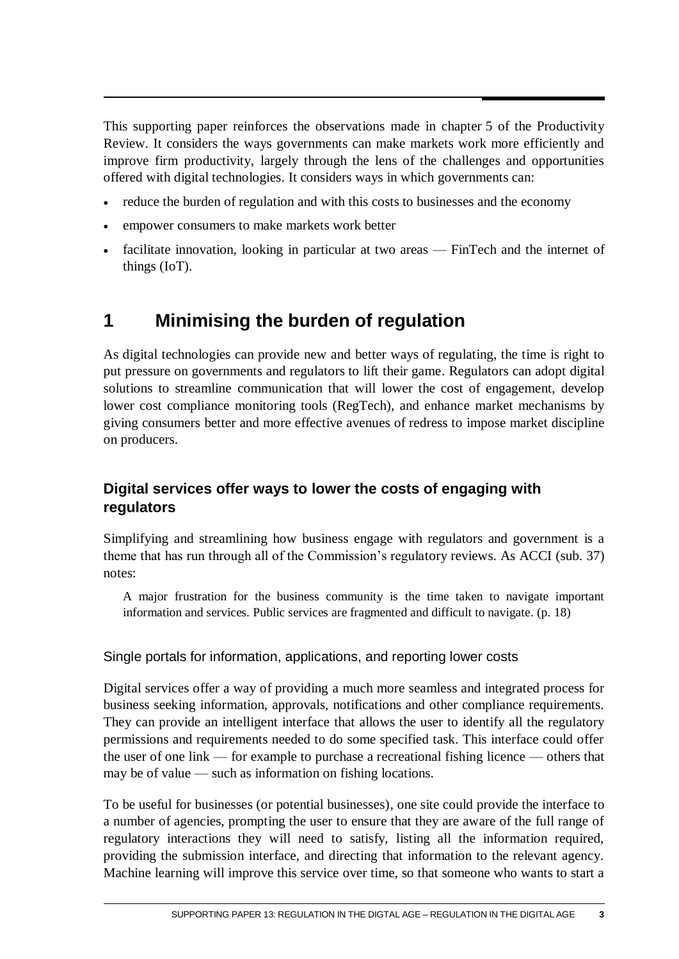<span id="page-4-0"></span>This supporting paper reinforces the observations made in chapter 5 of the Productivity Review. It considers the ways governments can make markets work more efficiently and improve firm productivity, largely through the lens of the challenges and opportunities offered with digital technologies. It considers ways in which governments can:

- reduce the burden of regulation and with this costs to businesses and the economy
- empower consumers to make markets work better
- facilitate innovation, looking in particular at two areas FinTech and the internet of things (IoT).

# **1 Minimising the burden of regulation**

As digital technologies can provide new and better ways of regulating, the time is right to put pressure on governments and regulators to lift their game. Regulators can adopt digital solutions to streamline communication that will lower the cost of engagement, develop lower cost compliance monitoring tools (RegTech), and enhance market mechanisms by giving consumers better and more effective avenues of redress to impose market discipline on producers.

# **Digital services offer ways to lower the costs of engaging with regulators**

Simplifying and streamlining how business engage with regulators and government is a theme that has run through all of the Commission's regulatory reviews. As ACCI (sub. 37) notes:

A major frustration for the business community is the time taken to navigate important information and services. Public services are fragmented and difficult to navigate. (p. 18)

Single portals for information, applications, and reporting lower costs

Digital services offer a way of providing a much more seamless and integrated process for business seeking information, approvals, notifications and other compliance requirements. They can provide an intelligent interface that allows the user to identify all the regulatory permissions and requirements needed to do some specified task. This interface could offer the user of one link — for example to purchase a recreational fishing licence — others that may be of value — such as information on fishing locations.

To be useful for businesses (or potential businesses), one site could provide the interface to a number of agencies, prompting the user to ensure that they are aware of the full range of regulatory interactions they will need to satisfy, listing all the information required, providing the submission interface, and directing that information to the relevant agency. Machine learning will improve this service over time, so that someone who wants to start a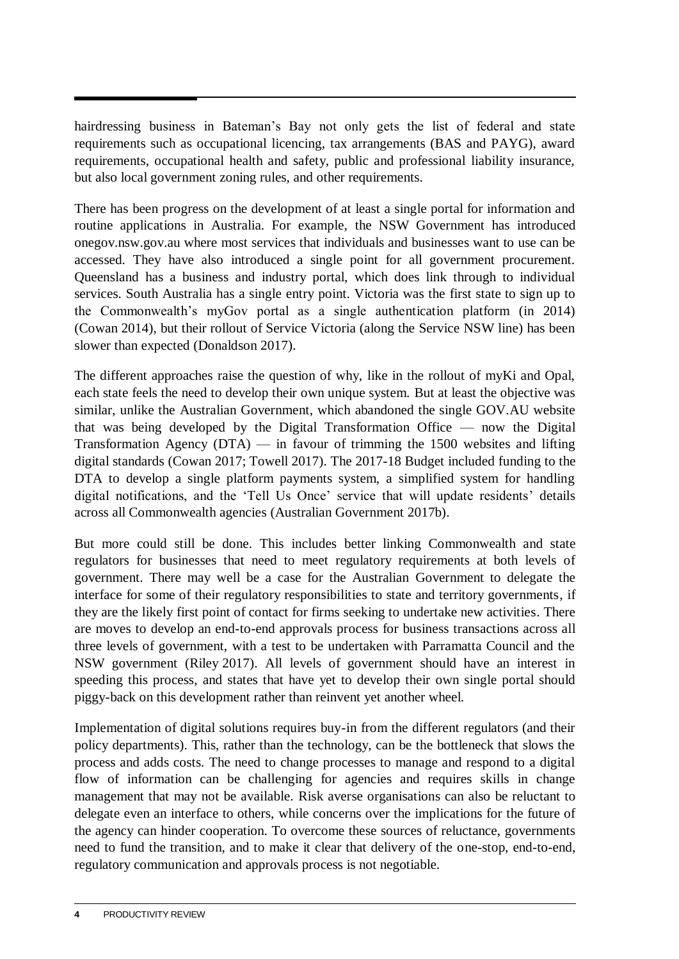hairdressing business in Bateman's Bay not only gets the list of federal and state requirements such as occupational licencing, tax arrangements (BAS and PAYG), award requirements, occupational health and safety, public and professional liability insurance, but also local government zoning rules, and other requirements.

There has been progress on the development of at least a single portal for information and routine applications in Australia. For example, the NSW Government has introduced onegov.nsw.gov.au where most services that individuals and businesses want to use can be accessed. They have also introduced a single point for all government procurement. Queensland has a business and industry portal, which does link through to individual services. South Australia has a single entry point. Victoria was the first state to sign up to the Commonwealth's myGov portal as a single authentication platform (in 2014) (Cowan 2014), but their rollout of Service Victoria (along the Service NSW line) has been slower than expected (Donaldson 2017).

The different approaches raise the question of why, like in the rollout of myKi and Opal, each state feels the need to develop their own unique system. But at least the objective was similar, unlike the Australian Government, which abandoned the single GOV.AU website that was being developed by the Digital Transformation Office — now the Digital Transformation Agency  $(DTA)$  — in favour of trimming the 1500 websites and lifting digital standards (Cowan 2017; Towell 2017). The 2017-18 Budget included funding to the DTA to develop a single platform payments system, a simplified system for handling digital notifications, and the 'Tell Us Once' service that will update residents' details across all Commonwealth agencies (Australian Government 2017b).

But more could still be done. This includes better linking Commonwealth and state regulators for businesses that need to meet regulatory requirements at both levels of government. There may well be a case for the Australian Government to delegate the interface for some of their regulatory responsibilities to state and territory governments, if they are the likely first point of contact for firms seeking to undertake new activities. There are moves to develop an end-to-end approvals process for business transactions across all three levels of government, with a test to be undertaken with Parramatta Council and the NSW government (Riley 2017). All levels of government should have an interest in speeding this process, and states that have yet to develop their own single portal should piggy-back on this development rather than reinvent yet another wheel.

Implementation of digital solutions requires buy-in from the different regulators (and their policy departments). This, rather than the technology, can be the bottleneck that slows the process and adds costs. The need to change processes to manage and respond to a digital flow of information can be challenging for agencies and requires skills in change management that may not be available. Risk averse organisations can also be reluctant to delegate even an interface to others, while concerns over the implications for the future of the agency can hinder cooperation. To overcome these sources of reluctance, governments need to fund the transition, and to make it clear that delivery of the one-stop, end-to-end, regulatory communication and approvals process is not negotiable.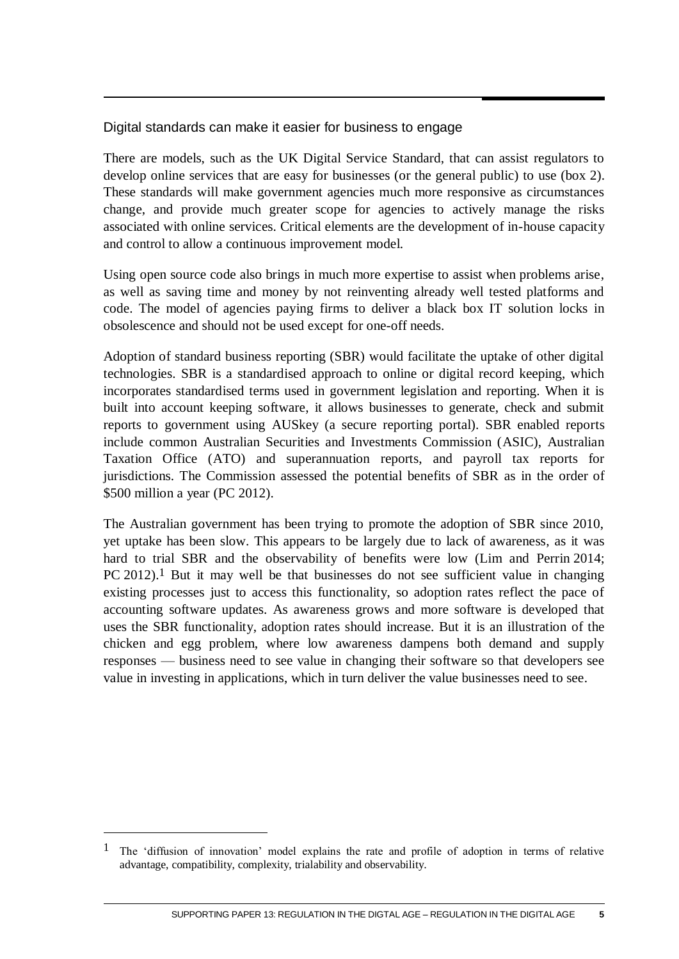# Digital standards can make it easier for business to engage

There are models, such as the UK Digital Service Standard, that can assist regulators to develop online services that are easy for businesses (or the general public) to use (box 2). These standards will make government agencies much more responsive as circumstances change, and provide much greater scope for agencies to actively manage the risks associated with online services. Critical elements are the development of in-house capacity and control to allow a continuous improvement model.

Using open source code also brings in much more expertise to assist when problems arise, as well as saving time and money by not reinventing already well tested platforms and code. The model of agencies paying firms to deliver a black box IT solution locks in obsolescence and should not be used except for one-off needs.

Adoption of standard business reporting (SBR) would facilitate the uptake of other digital technologies. SBR is a standardised approach to online or digital record keeping, which incorporates standardised terms used in government legislation and reporting. When it is built into account keeping software, it allows businesses to generate, check and submit reports to government using AUSkey (a secure reporting portal). SBR enabled reports include common Australian Securities and Investments Commission (ASIC), Australian Taxation Office (ATO) and superannuation reports, and payroll tax reports for jurisdictions. The Commission assessed the potential benefits of SBR as in the order of \$500 million a year (PC 2012).

The Australian government has been trying to promote the adoption of SBR since 2010, yet uptake has been slow. This appears to be largely due to lack of awareness, as it was hard to trial SBR and the observability of benefits were low (Lim and Perrin 2014; PC 2012).<sup>1</sup> But it may well be that businesses do not see sufficient value in changing existing processes just to access this functionality, so adoption rates reflect the pace of accounting software updates. As awareness grows and more software is developed that uses the SBR functionality, adoption rates should increase. But it is an illustration of the chicken and egg problem, where low awareness dampens both demand and supply responses — business need to see value in changing their software so that developers see value in investing in applications, which in turn deliver the value businesses need to see.

 $\overline{a}$ 

<sup>&</sup>lt;sup>1</sup> The 'diffusion of innovation' model explains the rate and profile of adoption in terms of relative advantage, compatibility, complexity, trialability and observability.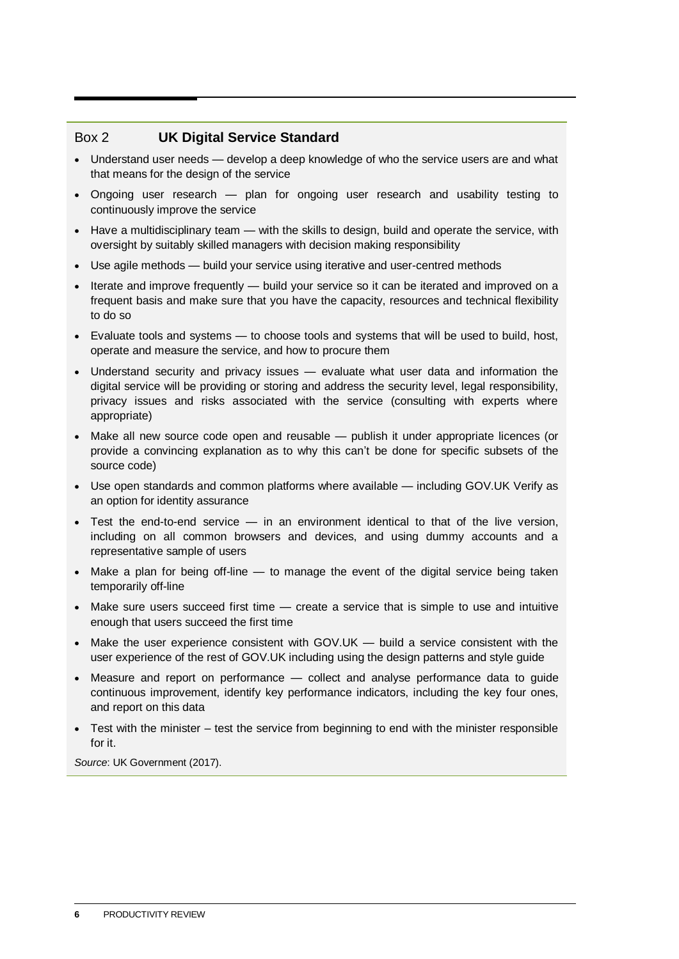### Box 2 **UK Digital Service Standard**

- Understand user needs develop a deep knowledge of who the service users are and what that means for the design of the service
- Ongoing user research plan for ongoing user research and usability testing to continuously improve the service
- Have a multidisciplinary team with the skills to design, build and operate the service, with oversight by suitably skilled managers with decision making responsibility
- Use agile methods build your service using iterative and user-centred methods
- Iterate and improve frequently build your service so it can be iterated and improved on a frequent basis and make sure that you have the capacity, resources and technical flexibility to do so
- Evaluate tools and systems to choose tools and systems that will be used to build, host, operate and measure the service, and how to procure them
- Understand security and privacy issues evaluate what user data and information the digital service will be providing or storing and address the security level, legal responsibility, privacy issues and risks associated with the service (consulting with experts where appropriate)
- Make all new source code open and reusable publish it under appropriate licences (or provide a convincing explanation as to why this can't be done for specific subsets of the source code)
- Use open standards and common platforms where available including GOV.UK Verify as an option for identity assurance
- Test the end-to-end service in an environment identical to that of the live version, including on all common browsers and devices, and using dummy accounts and a representative sample of users
- $\bullet$  Make a plan for being off-line  $-$  to manage the event of the digital service being taken temporarily off-line
- $\bullet$  Make sure users succeed first time  $-$  create a service that is simple to use and intuitive enough that users succeed the first time
- $\bullet$  Make the user experience consistent with GOV.UK build a service consistent with the user experience of the rest of GOV.UK including using the design patterns and style guide
- Measure and report on performance collect and analyse performance data to quide continuous improvement, identify key performance indicators, including the key four ones, and report on this data
- Test with the minister test the service from beginning to end with the minister responsible for it.

*Source*: UK Government (2017).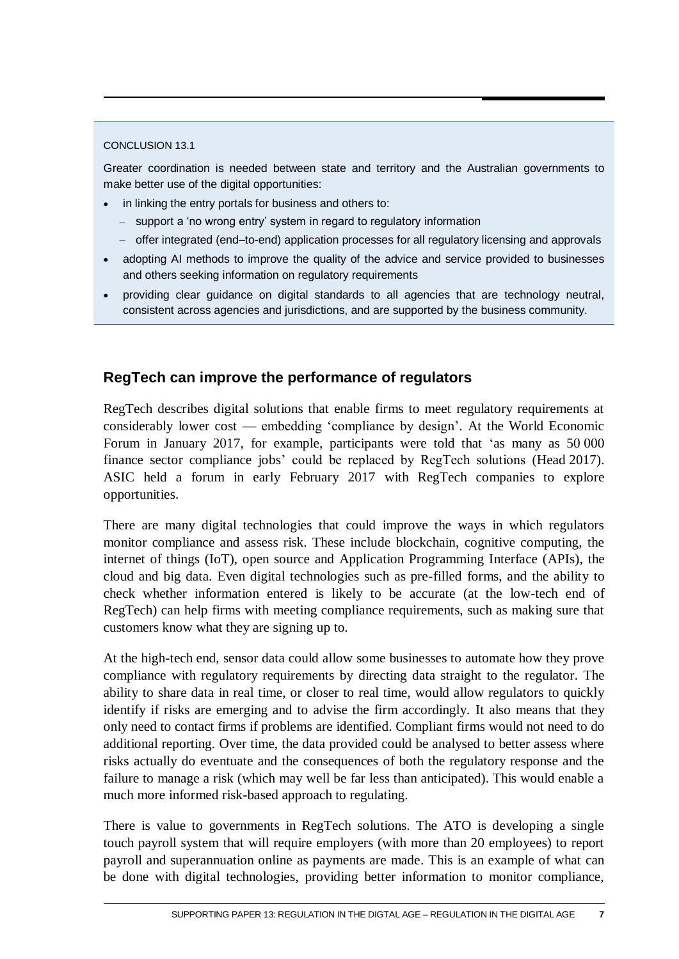### CONCLUSION 13.1

Greater coordination is needed between state and territory and the Australian governments to make better use of the digital opportunities:

- in linking the entry portals for business and others to:
	- support a 'no wrong entry' system in regard to regulatory information
	- offer integrated (end–to-end) application processes for all regulatory licensing and approvals
- adopting AI methods to improve the quality of the advice and service provided to businesses and others seeking information on regulatory requirements
- providing clear guidance on digital standards to all agencies that are technology neutral, consistent across agencies and jurisdictions, and are supported by the business community.

# **RegTech can improve the performance of regulators**

RegTech describes digital solutions that enable firms to meet regulatory requirements at considerably lower cost — embedding 'compliance by design'. At the World Economic Forum in January 2017, for example, participants were told that 'as many as 50 000 finance sector compliance jobs' could be replaced by RegTech solutions (Head 2017). ASIC held a forum in early February 2017 with RegTech companies to explore opportunities.

There are many digital technologies that could improve the ways in which regulators monitor compliance and assess risk. These include blockchain, cognitive computing, the internet of things (IoT), open source and Application Programming Interface (APIs), the cloud and big data. Even digital technologies such as pre-filled forms, and the ability to check whether information entered is likely to be accurate (at the low-tech end of RegTech) can help firms with meeting compliance requirements, such as making sure that customers know what they are signing up to.

At the high-tech end, sensor data could allow some businesses to automate how they prove compliance with regulatory requirements by directing data straight to the regulator. The ability to share data in real time, or closer to real time, would allow regulators to quickly identify if risks are emerging and to advise the firm accordingly. It also means that they only need to contact firms if problems are identified. Compliant firms would not need to do additional reporting. Over time, the data provided could be analysed to better assess where risks actually do eventuate and the consequences of both the regulatory response and the failure to manage a risk (which may well be far less than anticipated). This would enable a much more informed risk-based approach to regulating.

There is value to governments in RegTech solutions. The ATO is developing a single touch payroll system that will require employers (with more than 20 employees) to report payroll and superannuation online as payments are made. This is an example of what can be done with digital technologies, providing better information to monitor compliance,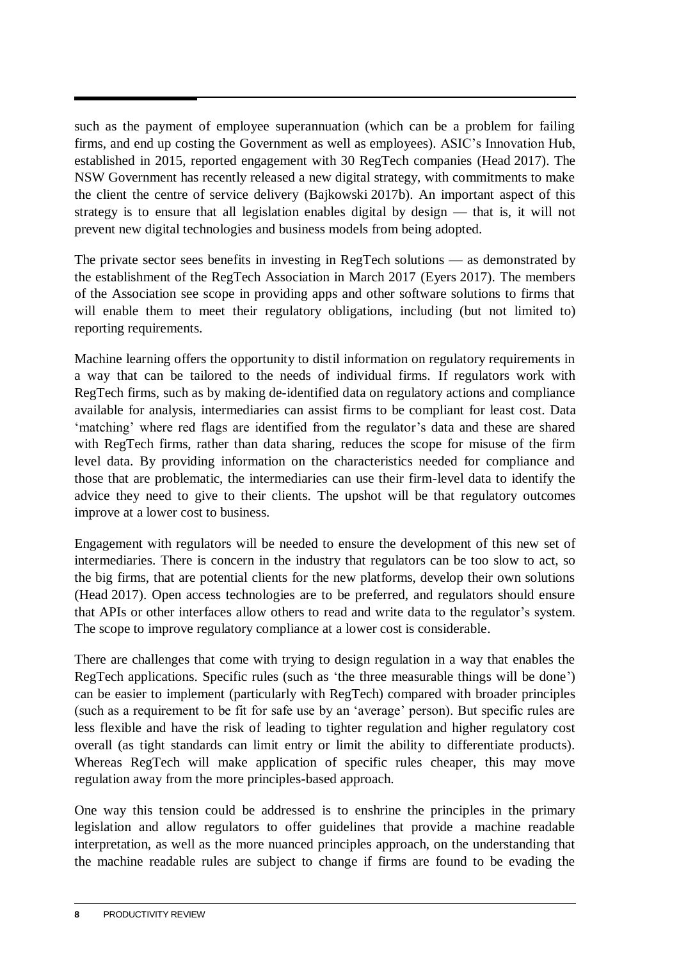such as the payment of employee superannuation (which can be a problem for failing firms, and end up costing the Government as well as employees). ASIC's Innovation Hub, established in 2015, reported engagement with 30 RegTech companies (Head 2017). The NSW Government has recently released a new digital strategy, with commitments to make the client the centre of service delivery (Bajkowski 2017b). An important aspect of this strategy is to ensure that all legislation enables digital by design — that is, it will not prevent new digital technologies and business models from being adopted.

The private sector sees benefits in investing in RegTech solutions — as demonstrated by the establishment of the RegTech Association in March 2017 (Eyers 2017). The members of the Association see scope in providing apps and other software solutions to firms that will enable them to meet their regulatory obligations, including (but not limited to) reporting requirements.

Machine learning offers the opportunity to distil information on regulatory requirements in a way that can be tailored to the needs of individual firms. If regulators work with RegTech firms, such as by making de-identified data on regulatory actions and compliance available for analysis, intermediaries can assist firms to be compliant for least cost. Data 'matching' where red flags are identified from the regulator's data and these are shared with RegTech firms, rather than data sharing, reduces the scope for misuse of the firm level data. By providing information on the characteristics needed for compliance and those that are problematic, the intermediaries can use their firm-level data to identify the advice they need to give to their clients. The upshot will be that regulatory outcomes improve at a lower cost to business.

Engagement with regulators will be needed to ensure the development of this new set of intermediaries. There is concern in the industry that regulators can be too slow to act, so the big firms, that are potential clients for the new platforms, develop their own solutions (Head 2017). Open access technologies are to be preferred, and regulators should ensure that APIs or other interfaces allow others to read and write data to the regulator's system. The scope to improve regulatory compliance at a lower cost is considerable.

There are challenges that come with trying to design regulation in a way that enables the RegTech applications. Specific rules (such as 'the three measurable things will be done') can be easier to implement (particularly with RegTech) compared with broader principles (such as a requirement to be fit for safe use by an 'average' person). But specific rules are less flexible and have the risk of leading to tighter regulation and higher regulatory cost overall (as tight standards can limit entry or limit the ability to differentiate products). Whereas RegTech will make application of specific rules cheaper, this may move regulation away from the more principles-based approach.

One way this tension could be addressed is to enshrine the principles in the primary legislation and allow regulators to offer guidelines that provide a machine readable interpretation, as well as the more nuanced principles approach, on the understanding that the machine readable rules are subject to change if firms are found to be evading the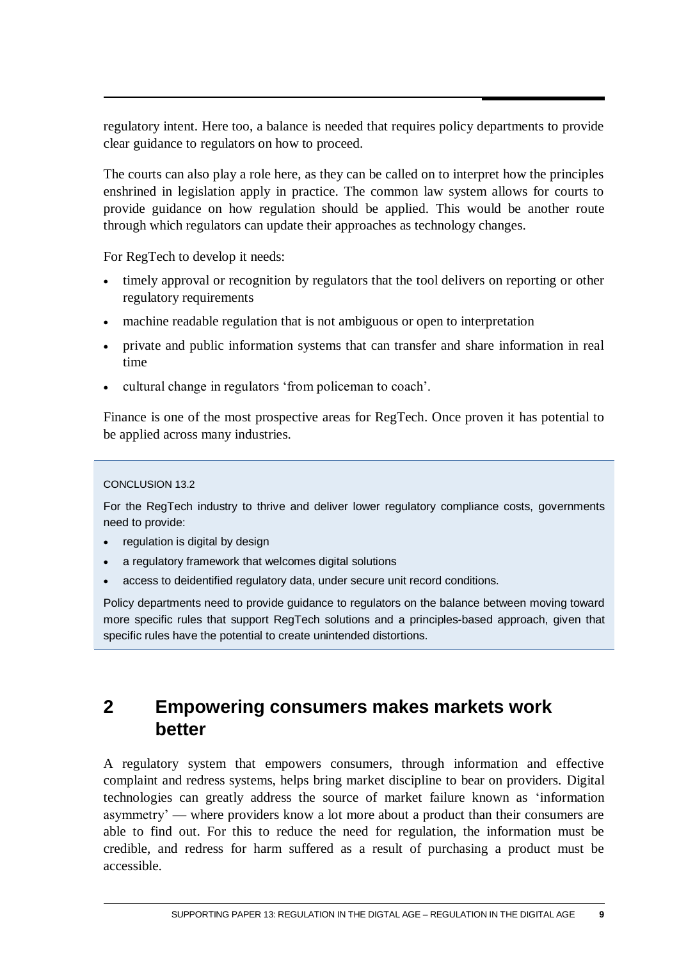<span id="page-10-0"></span>regulatory intent. Here too, a balance is needed that requires policy departments to provide clear guidance to regulators on how to proceed.

The courts can also play a role here, as they can be called on to interpret how the principles enshrined in legislation apply in practice. The common law system allows for courts to provide guidance on how regulation should be applied. This would be another route through which regulators can update their approaches as technology changes.

For RegTech to develop it needs:

- timely approval or recognition by regulators that the tool delivers on reporting or other regulatory requirements
- machine readable regulation that is not ambiguous or open to interpretation
- private and public information systems that can transfer and share information in real time
- cultural change in regulators 'from policeman to coach'.

Finance is one of the most prospective areas for RegTech. Once proven it has potential to be applied across many industries.

### CONCLUSION 13.2

For the RegTech industry to thrive and deliver lower regulatory compliance costs, governments need to provide:

- regulation is digital by design
- a regulatory framework that welcomes digital solutions
- access to deidentified regulatory data, under secure unit record conditions.

Policy departments need to provide guidance to regulators on the balance between moving toward more specific rules that support RegTech solutions and a principles-based approach, given that specific rules have the potential to create unintended distortions.

# **2 Empowering consumers makes markets work better**

A regulatory system that empowers consumers, through information and effective complaint and redress systems, helps bring market discipline to bear on providers. Digital technologies can greatly address the source of market failure known as 'information asymmetry' — where providers know a lot more about a product than their consumers are able to find out. For this to reduce the need for regulation, the information must be credible, and redress for harm suffered as a result of purchasing a product must be accessible.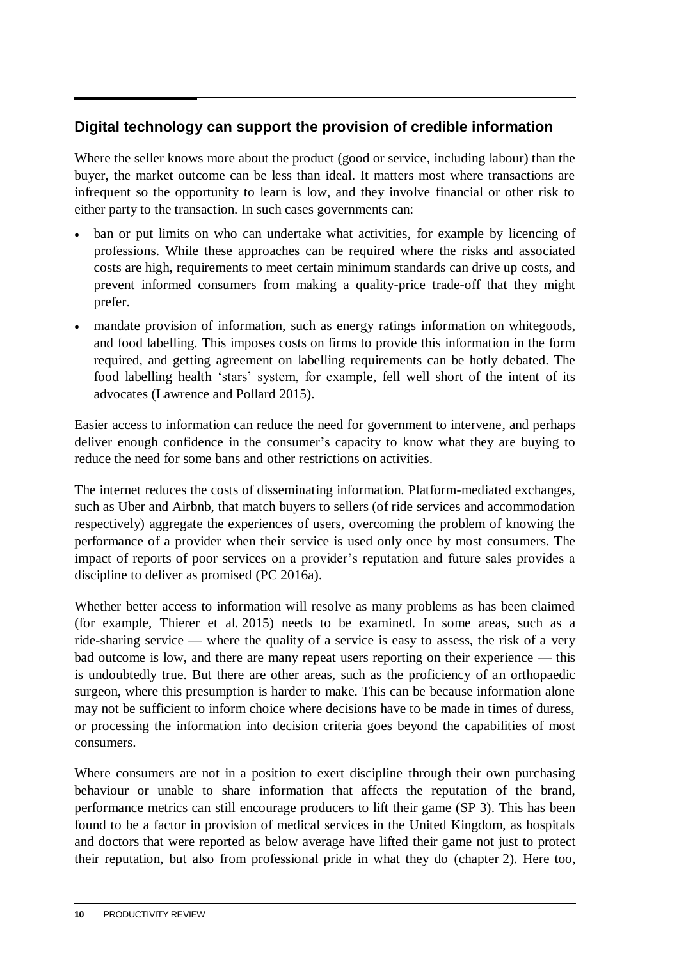# **Digital technology can support the provision of credible information**

Where the seller knows more about the product (good or service, including labour) than the buyer, the market outcome can be less than ideal. It matters most where transactions are infrequent so the opportunity to learn is low, and they involve financial or other risk to either party to the transaction. In such cases governments can:

- ban or put limits on who can undertake what activities, for example by licencing of professions. While these approaches can be required where the risks and associated costs are high, requirements to meet certain minimum standards can drive up costs, and prevent informed consumers from making a quality-price trade-off that they might prefer.
- mandate provision of information, such as energy ratings information on whitegoods, and food labelling. This imposes costs on firms to provide this information in the form required, and getting agreement on labelling requirements can be hotly debated. The food labelling health 'stars' system, for example, fell well short of the intent of its advocates (Lawrence and Pollard 2015).

Easier access to information can reduce the need for government to intervene, and perhaps deliver enough confidence in the consumer's capacity to know what they are buying to reduce the need for some bans and other restrictions on activities.

The internet reduces the costs of disseminating information. Platform-mediated exchanges, such as Uber and Airbnb, that match buyers to sellers (of ride services and accommodation respectively) aggregate the experiences of users, overcoming the problem of knowing the performance of a provider when their service is used only once by most consumers. The impact of reports of poor services on a provider's reputation and future sales provides a discipline to deliver as promised (PC 2016a).

Whether better access to information will resolve as many problems as has been claimed (for example, Thierer et al. 2015) needs to be examined. In some areas, such as a ride-sharing service — where the quality of a service is easy to assess, the risk of a very bad outcome is low, and there are many repeat users reporting on their experience — this is undoubtedly true. But there are other areas, such as the proficiency of an orthopaedic surgeon, where this presumption is harder to make. This can be because information alone may not be sufficient to inform choice where decisions have to be made in times of duress, or processing the information into decision criteria goes beyond the capabilities of most consumers.

Where consumers are not in a position to exert discipline through their own purchasing behaviour or unable to share information that affects the reputation of the brand, performance metrics can still encourage producers to lift their game (SP 3). This has been found to be a factor in provision of medical services in the United Kingdom, as hospitals and doctors that were reported as below average have lifted their game not just to protect their reputation, but also from professional pride in what they do (chapter 2). Here too,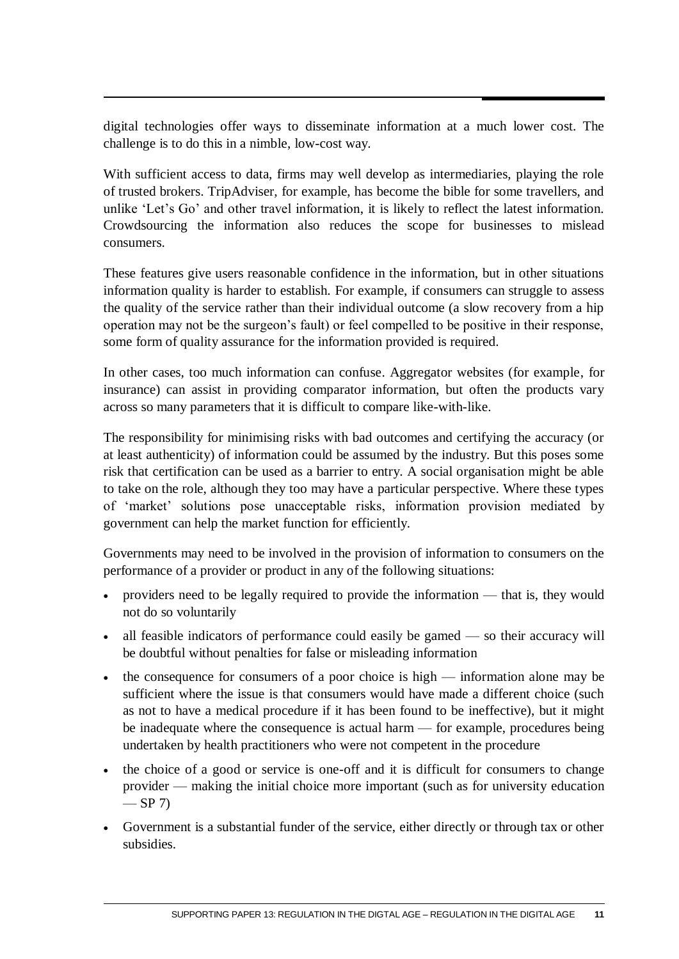digital technologies offer ways to disseminate information at a much lower cost. The challenge is to do this in a nimble, low-cost way.

With sufficient access to data, firms may well develop as intermediaries, playing the role of trusted brokers. TripAdviser, for example, has become the bible for some travellers, and unlike 'Let's Go' and other travel information, it is likely to reflect the latest information. Crowdsourcing the information also reduces the scope for businesses to mislead consumers.

These features give users reasonable confidence in the information, but in other situations information quality is harder to establish. For example, if consumers can struggle to assess the quality of the service rather than their individual outcome (a slow recovery from a hip operation may not be the surgeon's fault) or feel compelled to be positive in their response, some form of quality assurance for the information provided is required.

In other cases, too much information can confuse. Aggregator websites (for example, for insurance) can assist in providing comparator information, but often the products vary across so many parameters that it is difficult to compare like-with-like.

The responsibility for minimising risks with bad outcomes and certifying the accuracy (or at least authenticity) of information could be assumed by the industry. But this poses some risk that certification can be used as a barrier to entry. A social organisation might be able to take on the role, although they too may have a particular perspective. Where these types of 'market' solutions pose unacceptable risks, information provision mediated by government can help the market function for efficiently.

Governments may need to be involved in the provision of information to consumers on the performance of a provider or product in any of the following situations:

- providers need to be legally required to provide the information that is, they would not do so voluntarily
- all feasible indicators of performance could easily be gamed so their accuracy will be doubtful without penalties for false or misleading information
- the consequence for consumers of a poor choice is high information alone may be sufficient where the issue is that consumers would have made a different choice (such as not to have a medical procedure if it has been found to be ineffective), but it might be inadequate where the consequence is actual harm — for example, procedures being undertaken by health practitioners who were not competent in the procedure
- the choice of a good or service is one-off and it is difficult for consumers to change provider — making the initial choice more important (such as for university education  $-$  SP 7)
- Government is a substantial funder of the service, either directly or through tax or other subsidies.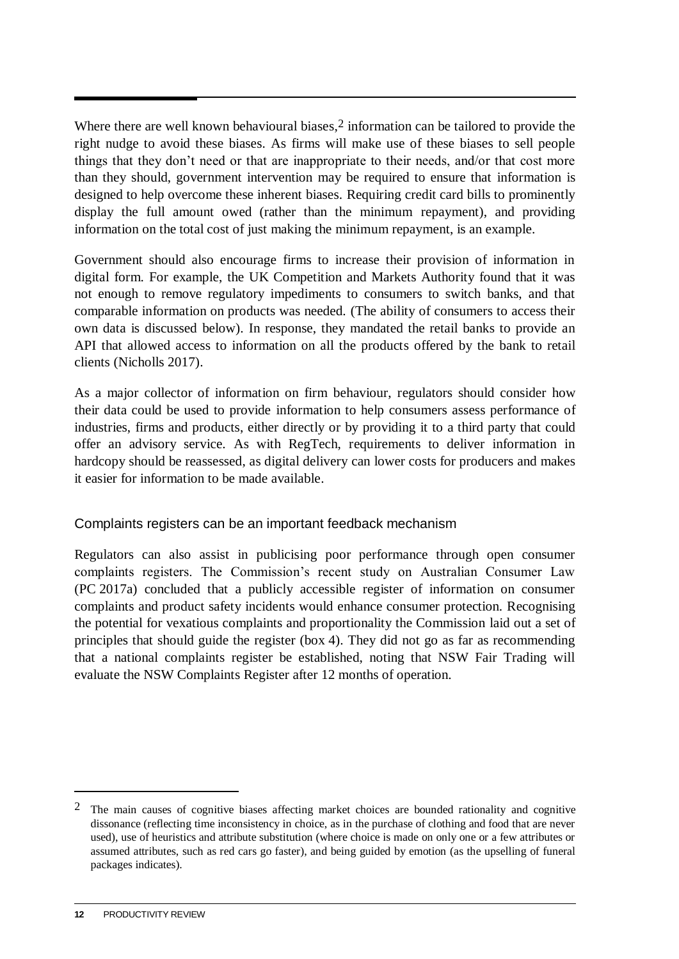Where there are well known behavioural biases,<sup>2</sup> information can be tailored to provide the right nudge to avoid these biases. As firms will make use of these biases to sell people things that they don't need or that are inappropriate to their needs, and/or that cost more than they should, government intervention may be required to ensure that information is designed to help overcome these inherent biases. Requiring credit card bills to prominently display the full amount owed (rather than the minimum repayment), and providing information on the total cost of just making the minimum repayment, is an example.

Government should also encourage firms to increase their provision of information in digital form. For example, the UK Competition and Markets Authority found that it was not enough to remove regulatory impediments to consumers to switch banks, and that comparable information on products was needed. (The ability of consumers to access their own data is discussed below). In response, they mandated the retail banks to provide an API that allowed access to information on all the products offered by the bank to retail clients (Nicholls 2017).

As a major collector of information on firm behaviour, regulators should consider how their data could be used to provide information to help consumers assess performance of industries, firms and products, either directly or by providing it to a third party that could offer an advisory service. As with RegTech, requirements to deliver information in hardcopy should be reassessed, as digital delivery can lower costs for producers and makes it easier for information to be made available.

# Complaints registers can be an important feedback mechanism

Regulators can also assist in publicising poor performance through open consumer complaints registers. The Commission's recent study on Australian Consumer Law (PC 2017a) concluded that a publicly accessible register of information on consumer complaints and product safety incidents would enhance consumer protection. Recognising the potential for vexatious complaints and proportionality the Commission laid out a set of principles that should guide the register (box 4). They did not go as far as recommending that a national complaints register be established, noting that NSW Fair Trading will evaluate the NSW Complaints Register after 12 months of operation.

 $\overline{a}$ 

 $2$  The main causes of cognitive biases affecting market choices are bounded rationality and cognitive dissonance (reflecting time inconsistency in choice, as in the purchase of clothing and food that are never used), use of heuristics and attribute substitution (where choice is made on only one or a few attributes or assumed attributes, such as red cars go faster), and being guided by emotion (as the upselling of funeral packages indicates).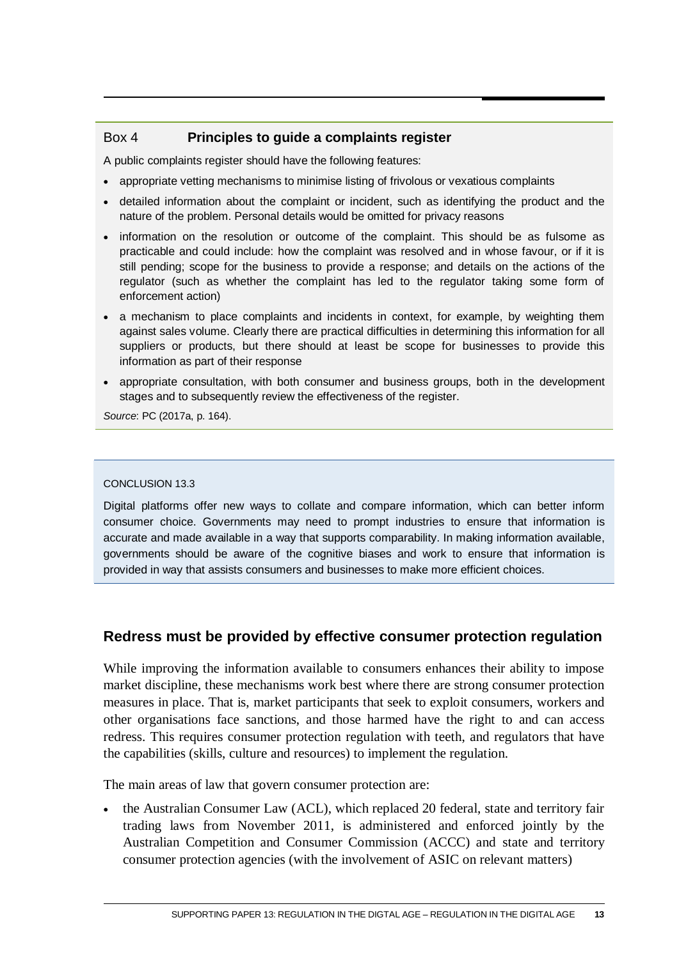## Box 4 **Principles to guide a complaints register**

A public complaints register should have the following features:

- appropriate vetting mechanisms to minimise listing of frivolous or vexatious complaints
- detailed information about the complaint or incident, such as identifying the product and the nature of the problem. Personal details would be omitted for privacy reasons
- information on the resolution or outcome of the complaint. This should be as fulsome as practicable and could include: how the complaint was resolved and in whose favour, or if it is still pending; scope for the business to provide a response; and details on the actions of the regulator (such as whether the complaint has led to the regulator taking some form of enforcement action)
- a mechanism to place complaints and incidents in context, for example, by weighting them against sales volume. Clearly there are practical difficulties in determining this information for all suppliers or products, but there should at least be scope for businesses to provide this information as part of their response
- appropriate consultation, with both consumer and business groups, both in the development stages and to subsequently review the effectiveness of the register.

*Source*: PC (2017a, p. 164).

### CONCLUSION 13.3

Digital platforms offer new ways to collate and compare information, which can better inform consumer choice. Governments may need to prompt industries to ensure that information is accurate and made available in a way that supports comparability. In making information available, governments should be aware of the cognitive biases and work to ensure that information is provided in way that assists consumers and businesses to make more efficient choices.

# **Redress must be provided by effective consumer protection regulation**

While improving the information available to consumers enhances their ability to impose market discipline, these mechanisms work best where there are strong consumer protection measures in place. That is, market participants that seek to exploit consumers, workers and other organisations face sanctions, and those harmed have the right to and can access redress. This requires consumer protection regulation with teeth, and regulators that have the capabilities (skills, culture and resources) to implement the regulation.

The main areas of law that govern consumer protection are:

 the Australian Consumer Law (ACL), which replaced 20 federal, state and territory fair trading laws from November 2011, is administered and enforced jointly by the Australian Competition and Consumer Commission (ACCC) and state and territory consumer protection agencies (with the involvement of ASIC on relevant matters)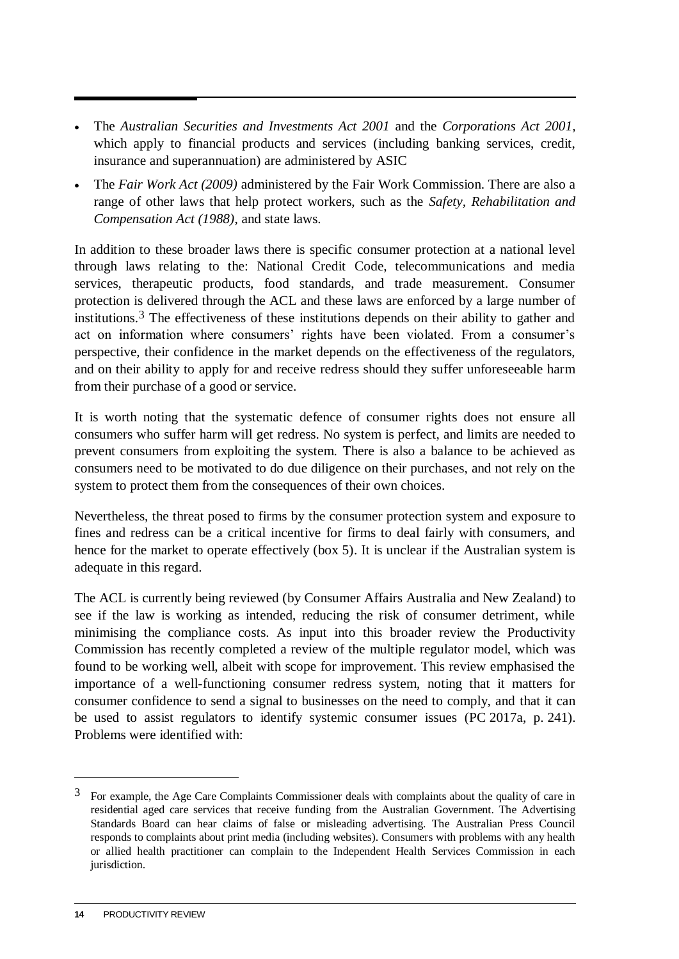- The *Australian Securities and Investments Act 2001* and the *Corporations Act 2001,* which apply to financial products and services (including banking services, credit, insurance and superannuation) are administered by ASIC
- The *Fair Work Act (2009)* administered by the Fair Work Commission. There are also a range of other laws that help protect workers, such as the *Safety, Rehabilitation and Compensation Act (1988)*, and state laws.

In addition to these broader laws there is specific consumer protection at a national level through laws relating to the: National Credit Code, telecommunications and media services, therapeutic products, food standards, and trade measurement. Consumer protection is delivered through the ACL and these laws are enforced by a large number of institutions. 3 The effectiveness of these institutions depends on their ability to gather and act on information where consumers' rights have been violated. From a consumer's perspective, their confidence in the market depends on the effectiveness of the regulators, and on their ability to apply for and receive redress should they suffer unforeseeable harm from their purchase of a good or service.

It is worth noting that the systematic defence of consumer rights does not ensure all consumers who suffer harm will get redress. No system is perfect, and limits are needed to prevent consumers from exploiting the system. There is also a balance to be achieved as consumers need to be motivated to do due diligence on their purchases, and not rely on the system to protect them from the consequences of their own choices.

Nevertheless, the threat posed to firms by the consumer protection system and exposure to fines and redress can be a critical incentive for firms to deal fairly with consumers, and hence for the market to operate effectively (box 5). It is unclear if the Australian system is adequate in this regard.

The ACL is currently being reviewed (by Consumer Affairs Australia and New Zealand) to see if the law is working as intended, reducing the risk of consumer detriment, while minimising the compliance costs. As input into this broader review the Productivity Commission has recently completed a review of the multiple regulator model, which was found to be working well, albeit with scope for improvement. This review emphasised the importance of a well-functioning consumer redress system, noting that it matters for consumer confidence to send a signal to businesses on the need to comply, and that it can be used to assist regulators to identify systemic consumer issues (PC 2017a, p. 241). Problems were identified with:

 $\overline{a}$ 

<sup>3</sup> For example, the Age Care Complaints Commissioner deals with complaints about the quality of care in residential aged care services that receive funding from the Australian Government. The Advertising Standards Board can hear claims of false or misleading advertising. The Australian Press Council responds to complaints about print media (including websites). Consumers with problems with any health or allied health practitioner can complain to the Independent Health Services Commission in each jurisdiction.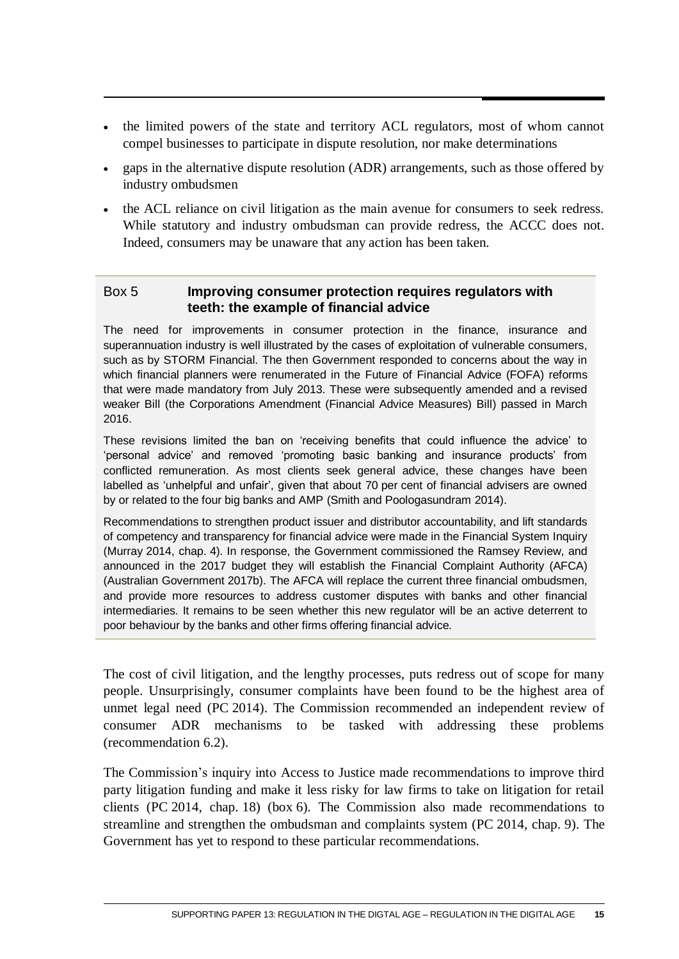- the limited powers of the state and territory ACL regulators, most of whom cannot compel businesses to participate in dispute resolution, nor make determinations
- gaps in the alternative dispute resolution (ADR) arrangements, such as those offered by industry ombudsmen
- the ACL reliance on civil litigation as the main avenue for consumers to seek redress. While statutory and industry ombudsman can provide redress, the ACCC does not. Indeed, consumers may be unaware that any action has been taken.

## Box 5 **Improving consumer protection requires regulators with teeth: the example of financial advice**

The need for improvements in consumer protection in the finance, insurance and superannuation industry is well illustrated by the cases of exploitation of vulnerable consumers, such as by STORM Financial. The then Government responded to concerns about the way in which financial planners were renumerated in the Future of Financial Advice (FOFA) reforms that were made mandatory from July 2013. These were subsequently amended and a revised weaker Bill (the Corporations Amendment (Financial Advice Measures) Bill) passed in March 2016.

These revisions limited the ban on 'receiving benefits that could influence the advice' to 'personal advice' and removed 'promoting basic banking and insurance products' from conflicted remuneration. As most clients seek general advice, these changes have been labelled as 'unhelpful and unfair', given that about 70 per cent of financial advisers are owned by or related to the four big banks and AMP (Smith and Poologasundram 2014).

Recommendations to strengthen product issuer and distributor accountability, and lift standards of competency and transparency for financial advice were made in the Financial System Inquiry (Murray 2014, chap. 4). In response, the Government commissioned the Ramsey Review, and announced in the 2017 budget they will establish the Financial Complaint Authority (AFCA) (Australian Government 2017b). The AFCA will replace the current three financial ombudsmen, and provide more resources to address customer disputes with banks and other financial intermediaries. It remains to be seen whether this new regulator will be an active deterrent to poor behaviour by the banks and other firms offering financial advice.

The cost of civil litigation, and the lengthy processes, puts redress out of scope for many people. Unsurprisingly, consumer complaints have been found to be the highest area of unmet legal need (PC 2014). The Commission recommended an independent review of consumer ADR mechanisms to be tasked with addressing these problems (recommendation 6.2).

The Commission's inquiry into Access to Justice made recommendations to improve third party litigation funding and make it less risky for law firms to take on litigation for retail clients (PC 2014, chap. 18) (box 6). The Commission also made recommendations to streamline and strengthen the ombudsman and complaints system (PC 2014, chap. 9). The Government has yet to respond to these particular recommendations.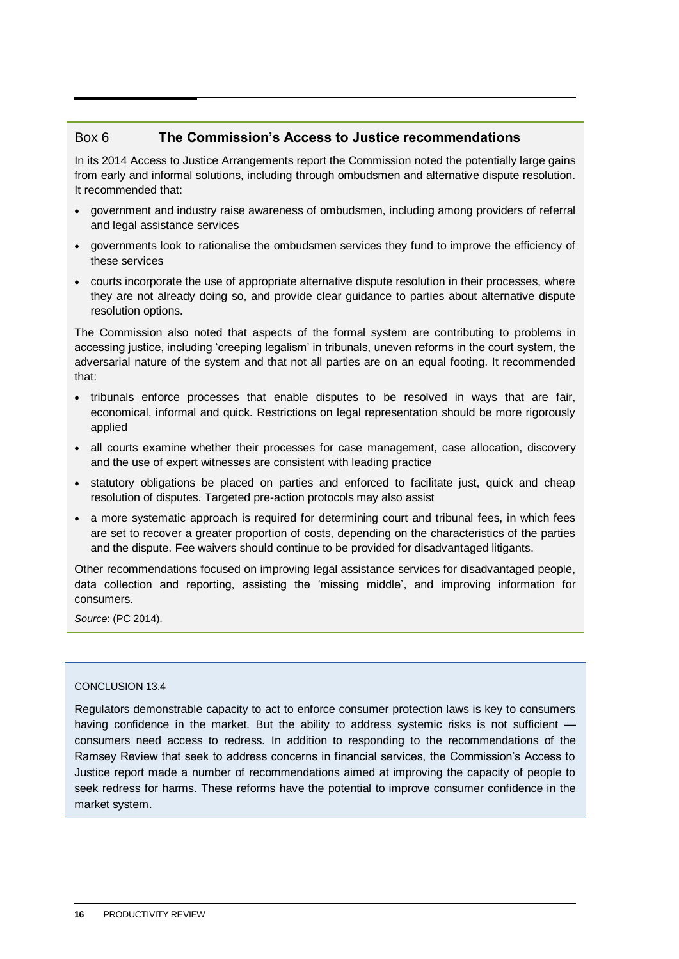### Box 6 **The Commission's Access to Justice recommendations**

In its 2014 Access to Justice Arrangements report the Commission noted the potentially large gains from early and informal solutions, including through ombudsmen and alternative dispute resolution. It recommended that:

- government and industry raise awareness of ombudsmen, including among providers of referral and legal assistance services
- governments look to rationalise the ombudsmen services they fund to improve the efficiency of these services
- courts incorporate the use of appropriate alternative dispute resolution in their processes, where they are not already doing so, and provide clear guidance to parties about alternative dispute resolution options.

The Commission also noted that aspects of the formal system are contributing to problems in accessing justice, including 'creeping legalism' in tribunals, uneven reforms in the court system, the adversarial nature of the system and that not all parties are on an equal footing. It recommended that:

- tribunals enforce processes that enable disputes to be resolved in ways that are fair, economical, informal and quick. Restrictions on legal representation should be more rigorously applied
- all courts examine whether their processes for case management, case allocation, discovery and the use of expert witnesses are consistent with leading practice
- statutory obligations be placed on parties and enforced to facilitate just, quick and cheap resolution of disputes. Targeted pre-action protocols may also assist
- a more systematic approach is required for determining court and tribunal fees, in which fees are set to recover a greater proportion of costs, depending on the characteristics of the parties and the dispute. Fee waivers should continue to be provided for disadvantaged litigants.

Other recommendations focused on improving legal assistance services for disadvantaged people, data collection and reporting, assisting the 'missing middle', and improving information for consumers.

*Source*: (PC 2014).

### CONCLUSION 13.4

Regulators demonstrable capacity to act to enforce consumer protection laws is key to consumers having confidence in the market. But the ability to address systemic risks is not sufficient consumers need access to redress. In addition to responding to the recommendations of the Ramsey Review that seek to address concerns in financial services, the Commission's Access to Justice report made a number of recommendations aimed at improving the capacity of people to seek redress for harms. These reforms have the potential to improve consumer confidence in the market system.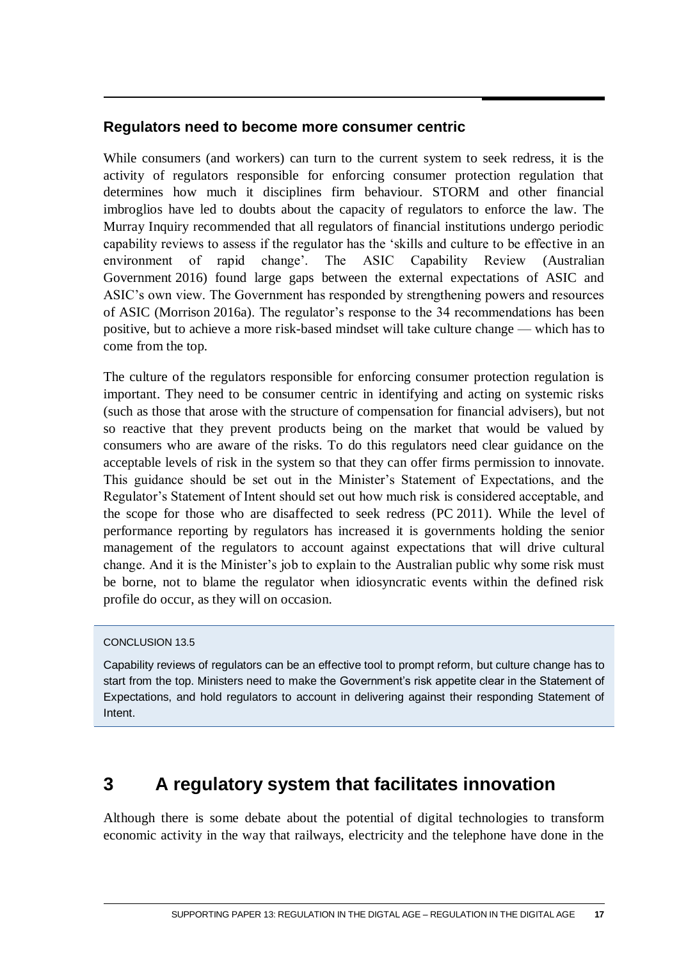## <span id="page-18-0"></span>**Regulators need to become more consumer centric**

While consumers (and workers) can turn to the current system to seek redress, it is the activity of regulators responsible for enforcing consumer protection regulation that determines how much it disciplines firm behaviour. STORM and other financial imbroglios have led to doubts about the capacity of regulators to enforce the law. The Murray Inquiry recommended that all regulators of financial institutions undergo periodic capability reviews to assess if the regulator has the 'skills and culture to be effective in an environment of rapid change'. The ASIC Capability Review (Australian Government 2016) found large gaps between the external expectations of ASIC and ASIC's own view. The Government has responded by strengthening powers and resources of ASIC (Morrison 2016a). The regulator's response to the 34 recommendations has been positive, but to achieve a more risk-based mindset will take culture change — which has to come from the top.

The culture of the regulators responsible for enforcing consumer protection regulation is important. They need to be consumer centric in identifying and acting on systemic risks (such as those that arose with the structure of compensation for financial advisers), but not so reactive that they prevent products being on the market that would be valued by consumers who are aware of the risks. To do this regulators need clear guidance on the acceptable levels of risk in the system so that they can offer firms permission to innovate. This guidance should be set out in the Minister's Statement of Expectations, and the Regulator's Statement of Intent should set out how much risk is considered acceptable, and the scope for those who are disaffected to seek redress (PC 2011). While the level of performance reporting by regulators has increased it is governments holding the senior management of the regulators to account against expectations that will drive cultural change. And it is the Minister's job to explain to the Australian public why some risk must be borne, not to blame the regulator when idiosyncratic events within the defined risk profile do occur, as they will on occasion.

### CONCLUSION 13.5

Capability reviews of regulators can be an effective tool to prompt reform, but culture change has to start from the top. Ministers need to make the Government's risk appetite clear in the Statement of Expectations, and hold regulators to account in delivering against their responding Statement of Intent.

# **3 A regulatory system that facilitates innovation**

Although there is some debate about the potential of digital technologies to transform economic activity in the way that railways, electricity and the telephone have done in the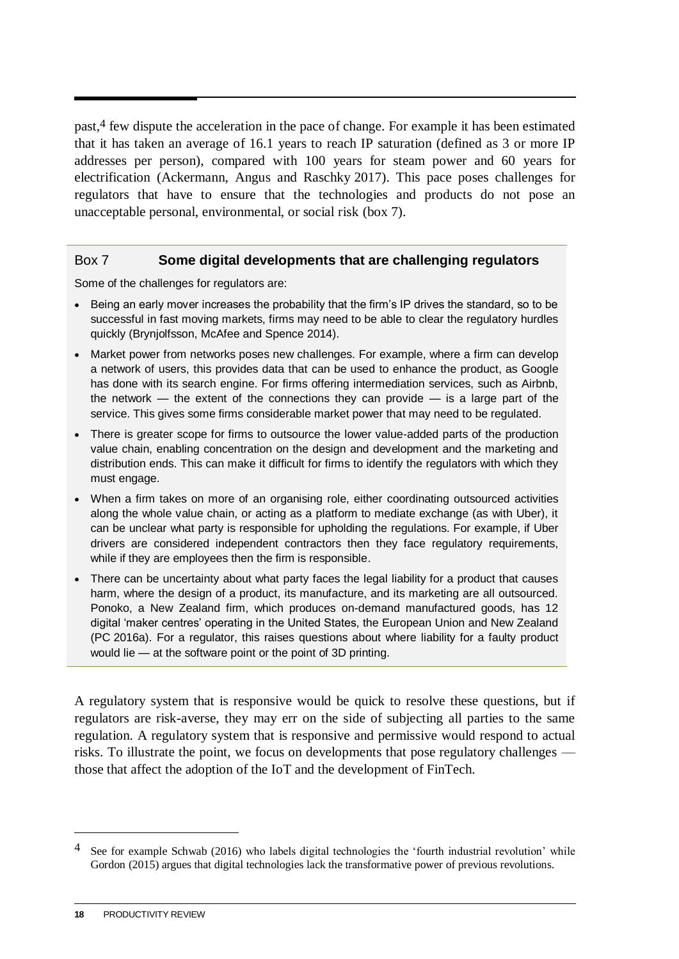past,4 few dispute the acceleration in the pace of change. For example it has been estimated that it has taken an average of 16.1 years to reach IP saturation (defined as 3 or more IP addresses per person), compared with 100 years for steam power and 60 years for electrification (Ackermann, Angus and Raschky 2017). This pace poses challenges for regulators that have to ensure that the technologies and products do not pose an unacceptable personal, environmental, or social risk (box 7).

### Box 7 **Some digital developments that are challenging regulators**

Some of the challenges for regulators are:

- Being an early mover increases the probability that the firm's IP drives the standard, so to be successful in fast moving markets, firms may need to be able to clear the regulatory hurdles quickly (Brynjolfsson, McAfee and Spence 2014).
- Market power from networks poses new challenges. For example, where a firm can develop a network of users, this provides data that can be used to enhance the product, as Google has done with its search engine. For firms offering intermediation services, such as Airbnb, the network — the extent of the connections they can provide — is a large part of the service. This gives some firms considerable market power that may need to be regulated.
- There is greater scope for firms to outsource the lower value-added parts of the production value chain, enabling concentration on the design and development and the marketing and distribution ends. This can make it difficult for firms to identify the regulators with which they must engage.
- When a firm takes on more of an organising role, either coordinating outsourced activities along the whole value chain, or acting as a platform to mediate exchange (as with Uber), it can be unclear what party is responsible for upholding the regulations. For example, if Uber drivers are considered independent contractors then they face regulatory requirements, while if they are employees then the firm is responsible.
- There can be uncertainty about what party faces the legal liability for a product that causes harm, where the design of a product, its manufacture, and its marketing are all outsourced. Ponoko, a New Zealand firm, which produces on-demand manufactured goods, has 12 digital 'maker centres' operating in the United States, the European Union and New Zealand (PC 2016a). For a regulator, this raises questions about where liability for a faulty product would lie — at the software point or the point of 3D printing.

A regulatory system that is responsive would be quick to resolve these questions, but if regulators are risk-averse, they may err on the side of subjecting all parties to the same regulation. A regulatory system that is responsive and permissive would respond to actual risks. To illustrate the point, we focus on developments that pose regulatory challenges those that affect the adoption of the IoT and the development of FinTech.

 $\overline{a}$ 

<sup>4</sup> See for example Schwab (2016) who labels digital technologies the 'fourth industrial revolution' while Gordon (2015) argues that digital technologies lack the transformative power of previous revolutions.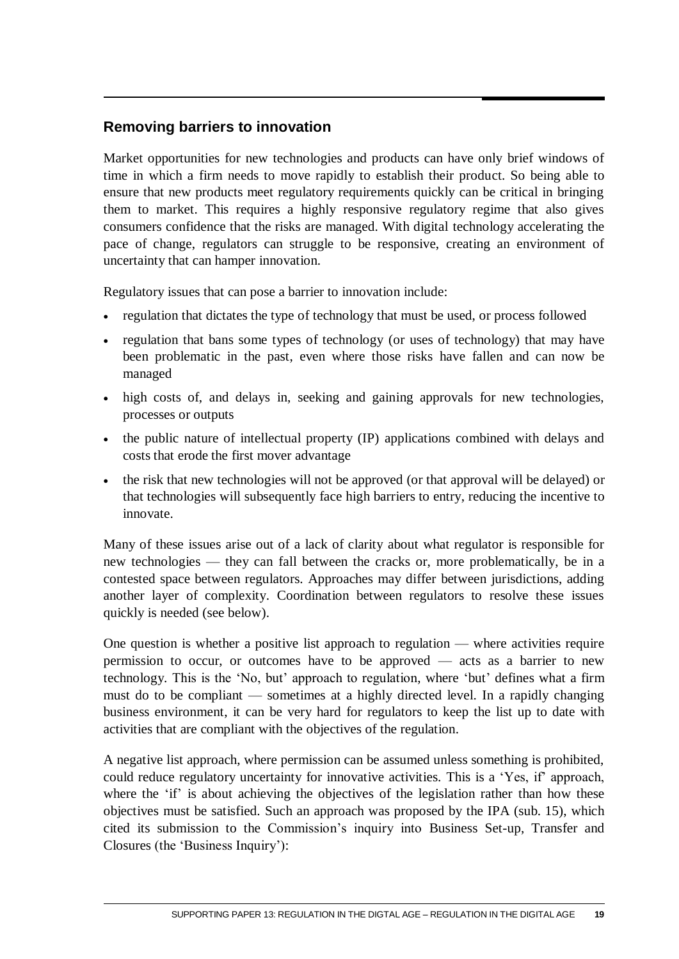# **Removing barriers to innovation**

Market opportunities for new technologies and products can have only brief windows of time in which a firm needs to move rapidly to establish their product. So being able to ensure that new products meet regulatory requirements quickly can be critical in bringing them to market. This requires a highly responsive regulatory regime that also gives consumers confidence that the risks are managed. With digital technology accelerating the pace of change, regulators can struggle to be responsive, creating an environment of uncertainty that can hamper innovation.

Regulatory issues that can pose a barrier to innovation include:

- regulation that dictates the type of technology that must be used, or process followed
- regulation that bans some types of technology (or uses of technology) that may have been problematic in the past, even where those risks have fallen and can now be managed
- high costs of, and delays in, seeking and gaining approvals for new technologies, processes or outputs
- the public nature of intellectual property (IP) applications combined with delays and costs that erode the first mover advantage
- the risk that new technologies will not be approved (or that approval will be delayed) or that technologies will subsequently face high barriers to entry, reducing the incentive to innovate.

Many of these issues arise out of a lack of clarity about what regulator is responsible for new technologies — they can fall between the cracks or, more problematically, be in a contested space between regulators. Approaches may differ between jurisdictions, adding another layer of complexity. Coordination between regulators to resolve these issues quickly is needed (see below).

One question is whether a positive list approach to regulation — where activities require permission to occur, or outcomes have to be approved — acts as a barrier to new technology. This is the 'No, but' approach to regulation, where 'but' defines what a firm must do to be compliant — sometimes at a highly directed level. In a rapidly changing business environment, it can be very hard for regulators to keep the list up to date with activities that are compliant with the objectives of the regulation.

A negative list approach, where permission can be assumed unless something is prohibited, could reduce regulatory uncertainty for innovative activities. This is a 'Yes, if' approach, where the 'if' is about achieving the objectives of the legislation rather than how these objectives must be satisfied. Such an approach was proposed by the IPA (sub. 15), which cited its submission to the Commission's inquiry into Business Set-up, Transfer and Closures (the 'Business Inquiry'):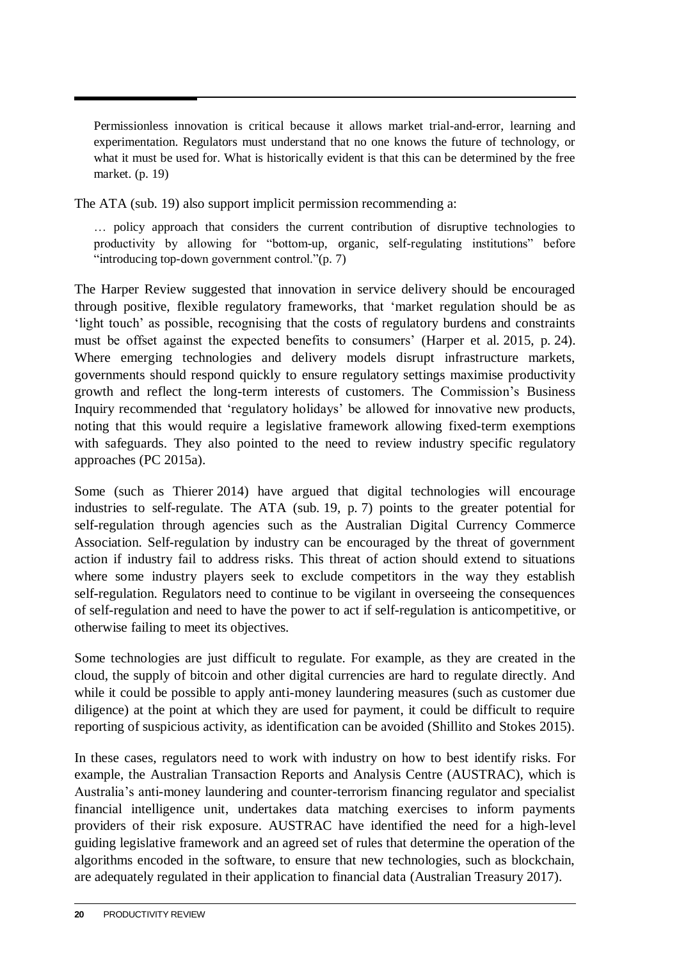Permissionless innovation is critical because it allows market trial-and-error, learning and experimentation. Regulators must understand that no one knows the future of technology, or what it must be used for. What is historically evident is that this can be determined by the free market. (p. 19)

The ATA (sub. 19) also support implicit permission recommending a:

… policy approach that considers the current contribution of disruptive technologies to productivity by allowing for "bottom-up, organic, self-regulating institutions" before "introducing top-down government control."(p. 7)

The Harper Review suggested that innovation in service delivery should be encouraged through positive, flexible regulatory frameworks, that 'market regulation should be as 'light touch' as possible, recognising that the costs of regulatory burdens and constraints must be offset against the expected benefits to consumers' (Harper et al. 2015, p. 24). Where emerging technologies and delivery models disrupt infrastructure markets, governments should respond quickly to ensure regulatory settings maximise productivity growth and reflect the long-term interests of customers. The Commission's Business Inquiry recommended that 'regulatory holidays' be allowed for innovative new products, noting that this would require a legislative framework allowing fixed-term exemptions with safeguards. They also pointed to the need to review industry specific regulatory approaches (PC 2015a).

Some (such as Thierer 2014) have argued that digital technologies will encourage industries to self-regulate. The ATA (sub. 19, p. 7) points to the greater potential for self-regulation through agencies such as the Australian Digital Currency Commerce Association. Self-regulation by industry can be encouraged by the threat of government action if industry fail to address risks. This threat of action should extend to situations where some industry players seek to exclude competitors in the way they establish self-regulation. Regulators need to continue to be vigilant in overseeing the consequences of self-regulation and need to have the power to act if self-regulation is anticompetitive, or otherwise failing to meet its objectives.

Some technologies are just difficult to regulate. For example, as they are created in the cloud, the supply of bitcoin and other digital currencies are hard to regulate directly. And while it could be possible to apply anti-money laundering measures (such as customer due diligence) at the point at which they are used for payment, it could be difficult to require reporting of suspicious activity, as identification can be avoided (Shillito and Stokes 2015).

In these cases, regulators need to work with industry on how to best identify risks. For example, the Australian Transaction Reports and Analysis Centre (AUSTRAC), which is Australia's anti-money laundering and counter-terrorism financing regulator and specialist financial intelligence unit, undertakes data matching exercises to inform payments providers of their risk exposure. AUSTRAC have identified the need for a high-level guiding legislative framework and an agreed set of rules that determine the operation of the algorithms encoded in the software, to ensure that new technologies, such as blockchain, are adequately regulated in their application to financial data (Australian Treasury 2017).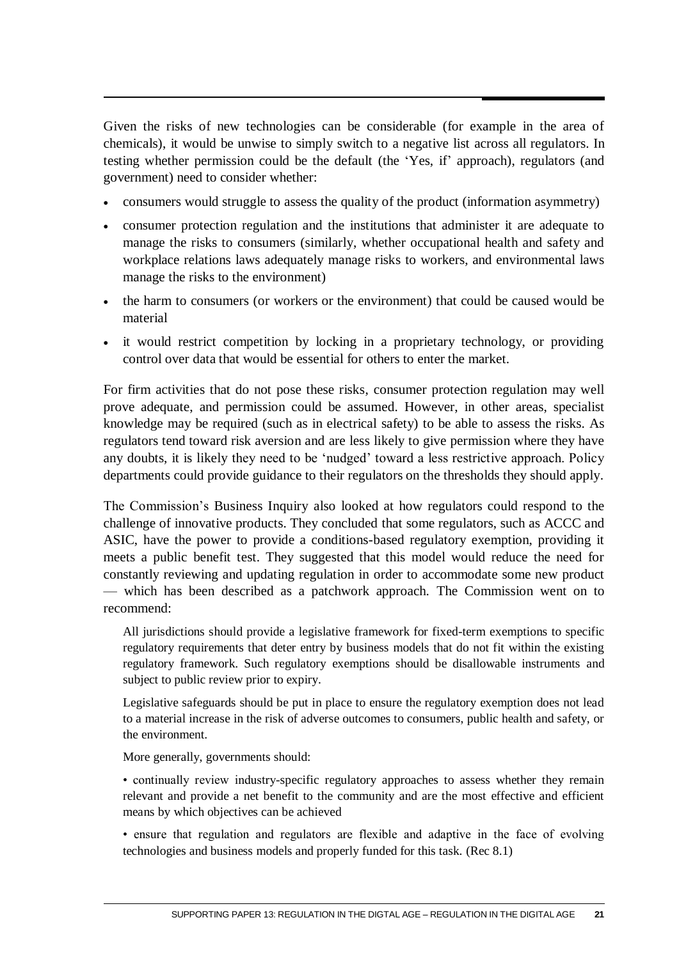Given the risks of new technologies can be considerable (for example in the area of chemicals), it would be unwise to simply switch to a negative list across all regulators. In testing whether permission could be the default (the 'Yes, if' approach), regulators (and government) need to consider whether:

- consumers would struggle to assess the quality of the product (information asymmetry)
- consumer protection regulation and the institutions that administer it are adequate to manage the risks to consumers (similarly, whether occupational health and safety and workplace relations laws adequately manage risks to workers, and environmental laws manage the risks to the environment)
- the harm to consumers (or workers or the environment) that could be caused would be material
- it would restrict competition by locking in a proprietary technology, or providing control over data that would be essential for others to enter the market.

For firm activities that do not pose these risks, consumer protection regulation may well prove adequate, and permission could be assumed. However, in other areas, specialist knowledge may be required (such as in electrical safety) to be able to assess the risks. As regulators tend toward risk aversion and are less likely to give permission where they have any doubts, it is likely they need to be 'nudged' toward a less restrictive approach. Policy departments could provide guidance to their regulators on the thresholds they should apply.

The Commission's Business Inquiry also looked at how regulators could respond to the challenge of innovative products. They concluded that some regulators, such as ACCC and ASIC, have the power to provide a conditions-based regulatory exemption, providing it meets a public benefit test. They suggested that this model would reduce the need for constantly reviewing and updating regulation in order to accommodate some new product — which has been described as a patchwork approach. The Commission went on to recommend:

All jurisdictions should provide a legislative framework for fixed-term exemptions to specific regulatory requirements that deter entry by business models that do not fit within the existing regulatory framework. Such regulatory exemptions should be disallowable instruments and subject to public review prior to expiry.

Legislative safeguards should be put in place to ensure the regulatory exemption does not lead to a material increase in the risk of adverse outcomes to consumers, public health and safety, or the environment.

More generally, governments should:

• continually review industry-specific regulatory approaches to assess whether they remain relevant and provide a net benefit to the community and are the most effective and efficient means by which objectives can be achieved

• ensure that regulation and regulators are flexible and adaptive in the face of evolving technologies and business models and properly funded for this task. (Rec 8.1)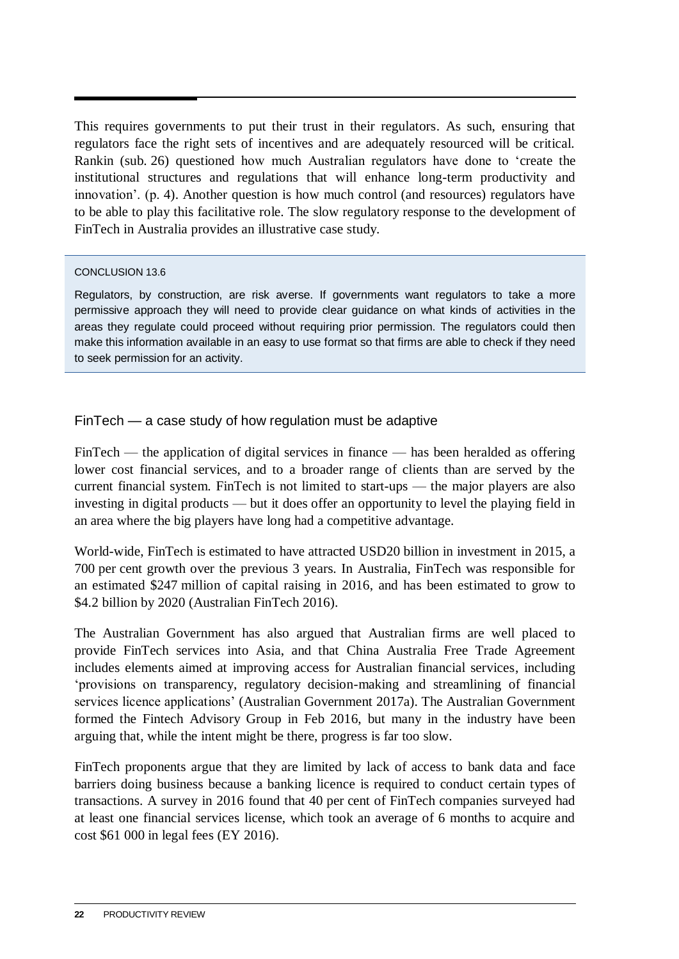This requires governments to put their trust in their regulators. As such, ensuring that regulators face the right sets of incentives and are adequately resourced will be critical. Rankin (sub. 26) questioned how much Australian regulators have done to 'create the institutional structures and regulations that will enhance long-term productivity and innovation'. (p. 4). Another question is how much control (and resources) regulators have to be able to play this facilitative role. The slow regulatory response to the development of FinTech in Australia provides an illustrative case study.

### CONCLUSION 13.6

Regulators, by construction, are risk averse. If governments want regulators to take a more permissive approach they will need to provide clear guidance on what kinds of activities in the areas they regulate could proceed without requiring prior permission. The regulators could then make this information available in an easy to use format so that firms are able to check if they need to seek permission for an activity.

FinTech — a case study of how regulation must be adaptive

FinTech — the application of digital services in finance — has been heralded as offering lower cost financial services, and to a broader range of clients than are served by the current financial system. FinTech is not limited to start-ups — the major players are also investing in digital products — but it does offer an opportunity to level the playing field in an area where the big players have long had a competitive advantage.

World-wide, FinTech is estimated to have attracted USD20 billion in investment in 2015, a 700 per cent growth over the previous 3 years. In Australia, FinTech was responsible for an estimated \$247 million of capital raising in 2016, and has been estimated to grow to \$4.2 billion by 2020 (Australian FinTech 2016).

The Australian Government has also argued that Australian firms are well placed to provide FinTech services into Asia, and that China Australia Free Trade Agreement includes elements aimed at improving access for Australian financial services, including 'provisions on transparency, regulatory decision-making and streamlining of financial services licence applications' (Australian Government 2017a). The Australian Government formed the Fintech Advisory Group in Feb 2016, but many in the industry have been arguing that, while the intent might be there, progress is far too slow.

FinTech proponents argue that they are limited by lack of access to bank data and face barriers doing business because a banking licence is required to conduct certain types of transactions. A survey in 2016 found that 40 per cent of FinTech companies surveyed had at least one financial services license, which took an average of 6 months to acquire and cost \$61 000 in legal fees (EY 2016).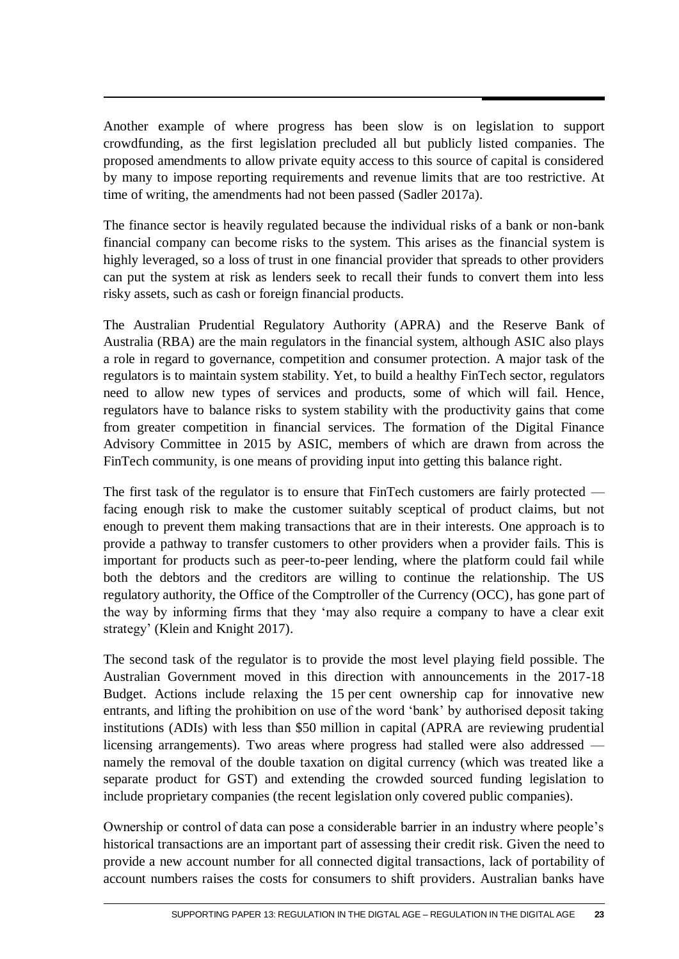Another example of where progress has been slow is on legislation to support crowdfunding, as the first legislation precluded all but publicly listed companies. The proposed amendments to allow private equity access to this source of capital is considered by many to impose reporting requirements and revenue limits that are too restrictive. At time of writing, the amendments had not been passed (Sadler 2017a).

The finance sector is heavily regulated because the individual risks of a bank or non-bank financial company can become risks to the system. This arises as the financial system is highly leveraged, so a loss of trust in one financial provider that spreads to other providers can put the system at risk as lenders seek to recall their funds to convert them into less risky assets, such as cash or foreign financial products.

The Australian Prudential Regulatory Authority (APRA) and the Reserve Bank of Australia (RBA) are the main regulators in the financial system, although ASIC also plays a role in regard to governance, competition and consumer protection. A major task of the regulators is to maintain system stability. Yet, to build a healthy FinTech sector, regulators need to allow new types of services and products, some of which will fail. Hence, regulators have to balance risks to system stability with the productivity gains that come from greater competition in financial services. The formation of the Digital Finance Advisory Committee in 2015 by ASIC, members of which are drawn from across the FinTech community, is one means of providing input into getting this balance right.

The first task of the regulator is to ensure that FinTech customers are fairly protected facing enough risk to make the customer suitably sceptical of product claims, but not enough to prevent them making transactions that are in their interests. One approach is to provide a pathway to transfer customers to other providers when a provider fails. This is important for products such as peer-to-peer lending, where the platform could fail while both the debtors and the creditors are willing to continue the relationship. The US regulatory authority, the Office of the Comptroller of the Currency (OCC), has gone part of the way by informing firms that they 'may also require a company to have a clear exit strategy' (Klein and Knight 2017).

The second task of the regulator is to provide the most level playing field possible. The Australian Government moved in this direction with announcements in the 2017-18 Budget. Actions include relaxing the 15 per cent ownership cap for innovative new entrants, and lifting the prohibition on use of the word 'bank' by authorised deposit taking institutions (ADIs) with less than \$50 million in capital (APRA are reviewing prudential licensing arrangements). Two areas where progress had stalled were also addressed namely the removal of the double taxation on digital currency (which was treated like a separate product for GST) and extending the crowded sourced funding legislation to include proprietary companies (the recent legislation only covered public companies).

Ownership or control of data can pose a considerable barrier in an industry where people's historical transactions are an important part of assessing their credit risk. Given the need to provide a new account number for all connected digital transactions, lack of portability of account numbers raises the costs for consumers to shift providers. Australian banks have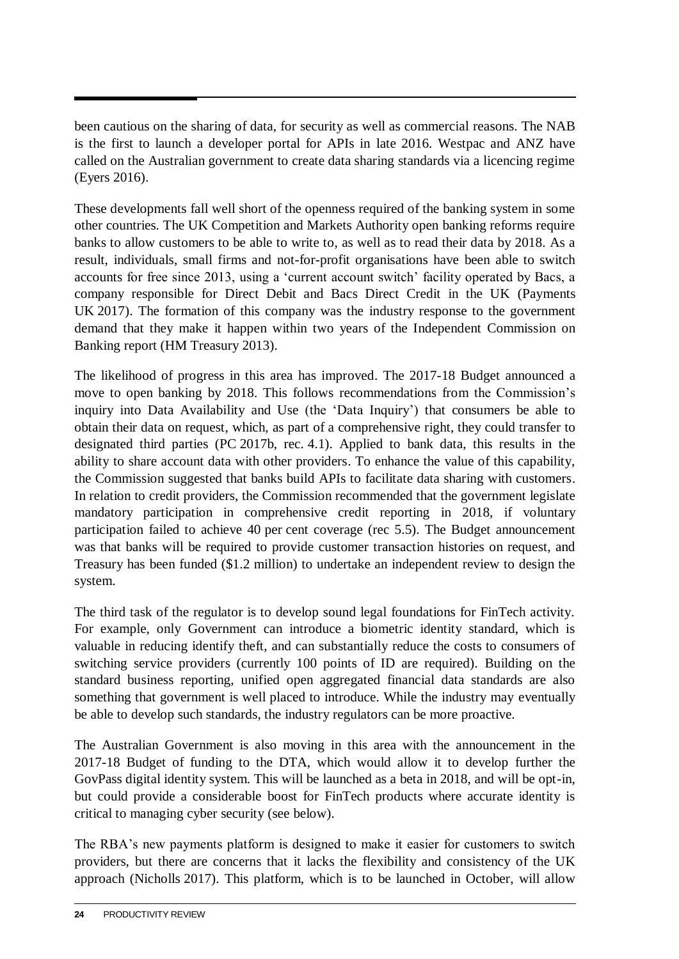been cautious on the sharing of data, for security as well as commercial reasons. The NAB is the first to launch a developer portal for APIs in late 2016. Westpac and ANZ have called on the Australian government to create data sharing standards via a licencing regime (Eyers 2016).

These developments fall well short of the openness required of the banking system in some other countries. The UK Competition and Markets Authority open banking reforms require banks to allow customers to be able to write to, as well as to read their data by 2018. As a result, individuals, small firms and not-for-profit organisations have been able to switch accounts for free since 2013, using a 'current account switch' facility operated by Bacs, a company responsible for Direct Debit and Bacs Direct Credit in the UK (Payments UK 2017). The formation of this company was the industry response to the government demand that they make it happen within two years of the Independent Commission on Banking report (HM Treasury 2013).

The likelihood of progress in this area has improved. The 2017-18 Budget announced a move to open banking by 2018. This follows recommendations from the Commission's inquiry into Data Availability and Use (the 'Data Inquiry') that consumers be able to obtain their data on request, which, as part of a comprehensive right, they could transfer to designated third parties (PC 2017b, rec. 4.1). Applied to bank data, this results in the ability to share account data with other providers. To enhance the value of this capability, the Commission suggested that banks build APIs to facilitate data sharing with customers. In relation to credit providers, the Commission recommended that the government legislate mandatory participation in comprehensive credit reporting in 2018, if voluntary participation failed to achieve 40 per cent coverage (rec 5.5). The Budget announcement was that banks will be required to provide customer transaction histories on request, and Treasury has been funded (\$1.2 million) to undertake an independent review to design the system.

The third task of the regulator is to develop sound legal foundations for FinTech activity. For example, only Government can introduce a biometric identity standard, which is valuable in reducing identify theft, and can substantially reduce the costs to consumers of switching service providers (currently 100 points of ID are required). Building on the standard business reporting, unified open aggregated financial data standards are also something that government is well placed to introduce. While the industry may eventually be able to develop such standards, the industry regulators can be more proactive.

The Australian Government is also moving in this area with the announcement in the 2017-18 Budget of funding to the DTA, which would allow it to develop further the GovPass digital identity system. This will be launched as a beta in 2018, and will be opt-in, but could provide a considerable boost for FinTech products where accurate identity is critical to managing cyber security (see below).

The RBA's new payments platform is designed to make it easier for customers to switch providers, but there are concerns that it lacks the flexibility and consistency of the UK approach (Nicholls 2017). This platform, which is to be launched in October, will allow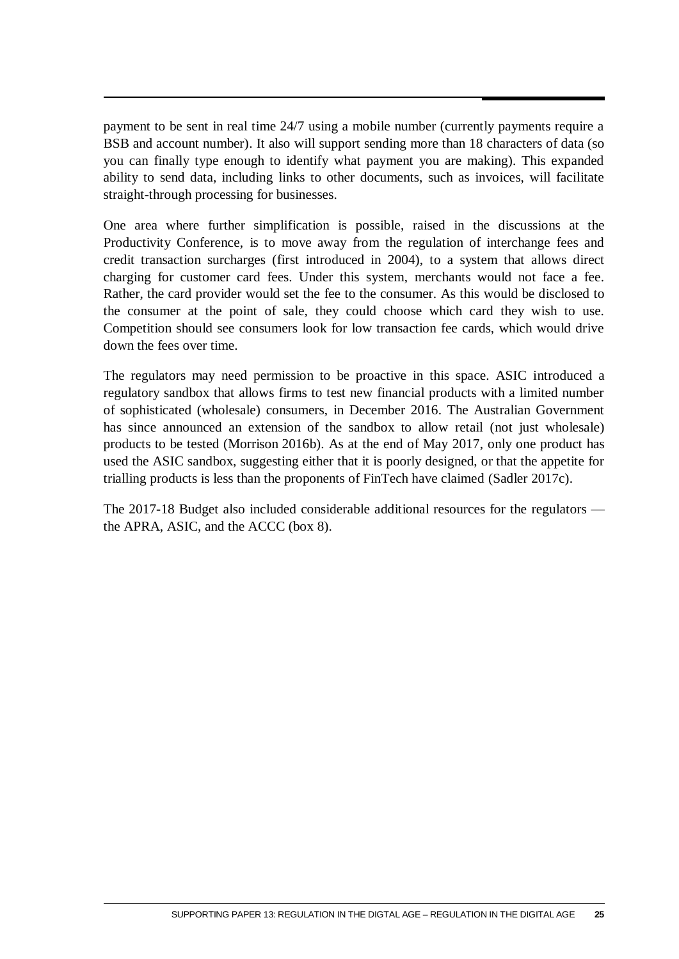payment to be sent in real time 24/7 using a mobile number (currently payments require a BSB and account number). It also will support sending more than 18 characters of data (so you can finally type enough to identify what payment you are making). This expanded ability to send data, including links to other documents, such as invoices, will facilitate straight-through processing for businesses.

One area where further simplification is possible, raised in the discussions at the Productivity Conference, is to move away from the regulation of interchange fees and credit transaction surcharges (first introduced in 2004), to a system that allows direct charging for customer card fees. Under this system, merchants would not face a fee. Rather, the card provider would set the fee to the consumer. As this would be disclosed to the consumer at the point of sale, they could choose which card they wish to use. Competition should see consumers look for low transaction fee cards, which would drive down the fees over time.

The regulators may need permission to be proactive in this space. ASIC introduced a regulatory sandbox that allows firms to test new financial products with a limited number of sophisticated (wholesale) consumers, in December 2016. The Australian Government has since announced an extension of the sandbox to allow retail (not just wholesale) products to be tested (Morrison 2016b). As at the end of May 2017, only one product has used the ASIC sandbox, suggesting either that it is poorly designed, or that the appetite for trialling products is less than the proponents of FinTech have claimed (Sadler 2017c).

The 2017-18 Budget also included considerable additional resources for the regulators the APRA, ASIC, and the ACCC (box 8).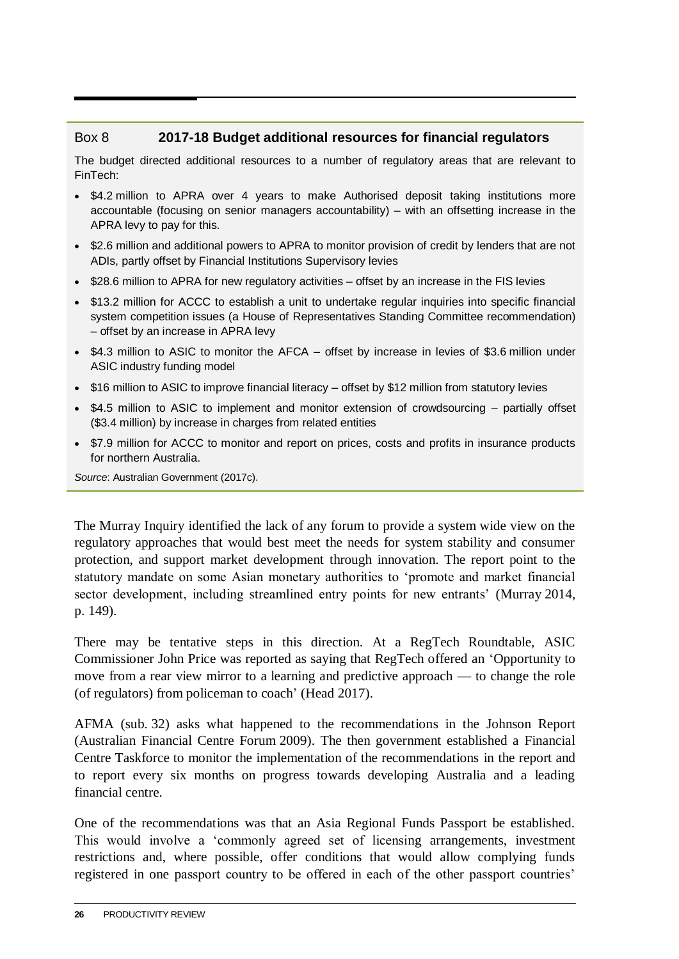# Box 8 **2017-18 Budget additional resources for financial regulators**

The budget directed additional resources to a number of regulatory areas that are relevant to FinTech:

- \$4.2 million to APRA over 4 years to make Authorised deposit taking institutions more accountable (focusing on senior managers accountability) – with an offsetting increase in the APRA levy to pay for this.
- \$2.6 million and additional powers to APRA to monitor provision of credit by lenders that are not ADIs, partly offset by Financial Institutions Supervisory levies
- \$28.6 million to APRA for new regulatory activities offset by an increase in the FIS levies
- \$13.2 million for ACCC to establish a unit to undertake regular inquiries into specific financial system competition issues (a House of Representatives Standing Committee recommendation) – offset by an increase in APRA levy
- \$4.3 million to ASIC to monitor the AFCA offset by increase in levies of \$3.6 million under ASIC industry funding model
- \$16 million to ASIC to improve financial literacy offset by \$12 million from statutory levies
- \$4.5 million to ASIC to implement and monitor extension of crowdsourcing partially offset (\$3.4 million) by increase in charges from related entities
- \$7.9 million for ACCC to monitor and report on prices, costs and profits in insurance products for northern Australia.

*Source*: Australian Government (2017c).

The Murray Inquiry identified the lack of any forum to provide a system wide view on the regulatory approaches that would best meet the needs for system stability and consumer protection, and support market development through innovation. The report point to the statutory mandate on some Asian monetary authorities to 'promote and market financial sector development, including streamlined entry points for new entrants' (Murray 2014, p. 149).

There may be tentative steps in this direction. At a RegTech Roundtable, ASIC Commissioner John Price was reported as saying that RegTech offered an 'Opportunity to move from a rear view mirror to a learning and predictive approach — to change the role (of regulators) from policeman to coach' (Head 2017).

AFMA (sub. 32) asks what happened to the recommendations in the Johnson Report (Australian Financial Centre Forum 2009). The then government established a Financial Centre Taskforce to monitor the implementation of the recommendations in the report and to report every six months on progress towards developing Australia and a leading financial centre.

One of the recommendations was that an Asia Regional Funds Passport be established. This would involve a 'commonly agreed set of licensing arrangements, investment restrictions and, where possible, offer conditions that would allow complying funds registered in one passport country to be offered in each of the other passport countries'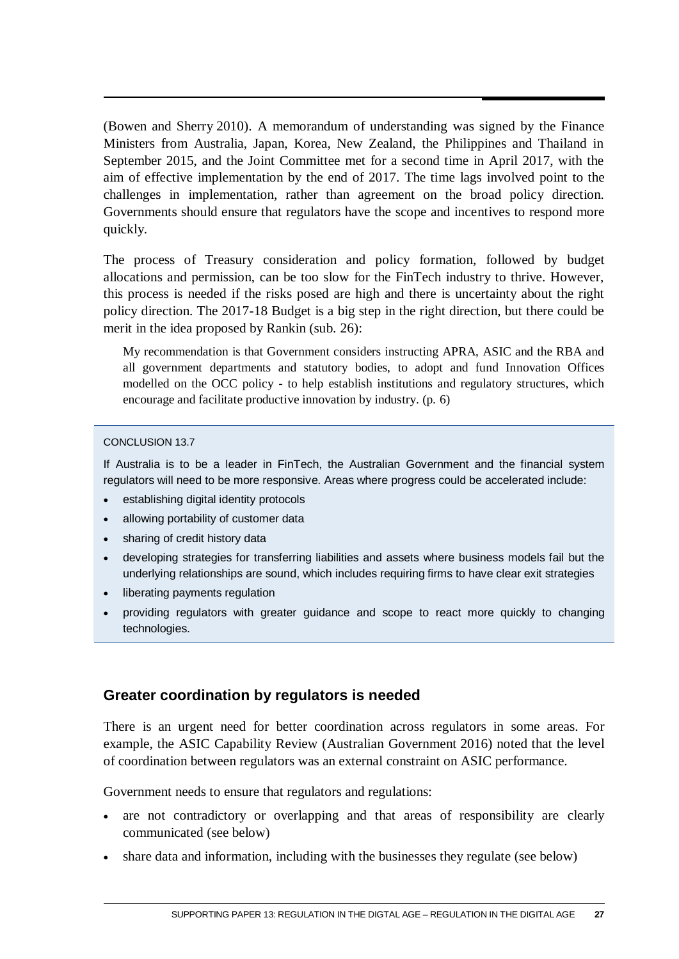(Bowen and Sherry 2010). A memorandum of understanding was signed by the Finance Ministers from Australia, Japan, Korea, New Zealand, the Philippines and Thailand in September 2015, and the Joint Committee met for a second time in April 2017, with the aim of effective implementation by the end of 2017. The time lags involved point to the challenges in implementation, rather than agreement on the broad policy direction. Governments should ensure that regulators have the scope and incentives to respond more quickly.

The process of Treasury consideration and policy formation, followed by budget allocations and permission, can be too slow for the FinTech industry to thrive. However, this process is needed if the risks posed are high and there is uncertainty about the right policy direction. The 2017-18 Budget is a big step in the right direction, but there could be merit in the idea proposed by Rankin (sub. 26):

My recommendation is that Government considers instructing APRA, ASIC and the RBA and all government departments and statutory bodies, to adopt and fund Innovation Offices modelled on the OCC policy - to help establish institutions and regulatory structures, which encourage and facilitate productive innovation by industry. (p. 6)

### CONCLUSION 13.7

If Australia is to be a leader in FinTech, the Australian Government and the financial system regulators will need to be more responsive. Areas where progress could be accelerated include:

- establishing digital identity protocols
- allowing portability of customer data
- sharing of credit history data
- developing strategies for transferring liabilities and assets where business models fail but the underlying relationships are sound, which includes requiring firms to have clear exit strategies
- liberating payments regulation
- providing regulators with greater guidance and scope to react more quickly to changing technologies.

### **Greater coordination by regulators is needed**

There is an urgent need for better coordination across regulators in some areas. For example, the ASIC Capability Review (Australian Government 2016) noted that the level of coordination between regulators was an external constraint on ASIC performance.

Government needs to ensure that regulators and regulations:

- are not contradictory or overlapping and that areas of responsibility are clearly communicated (see below)
- share data and information, including with the businesses they regulate (see below)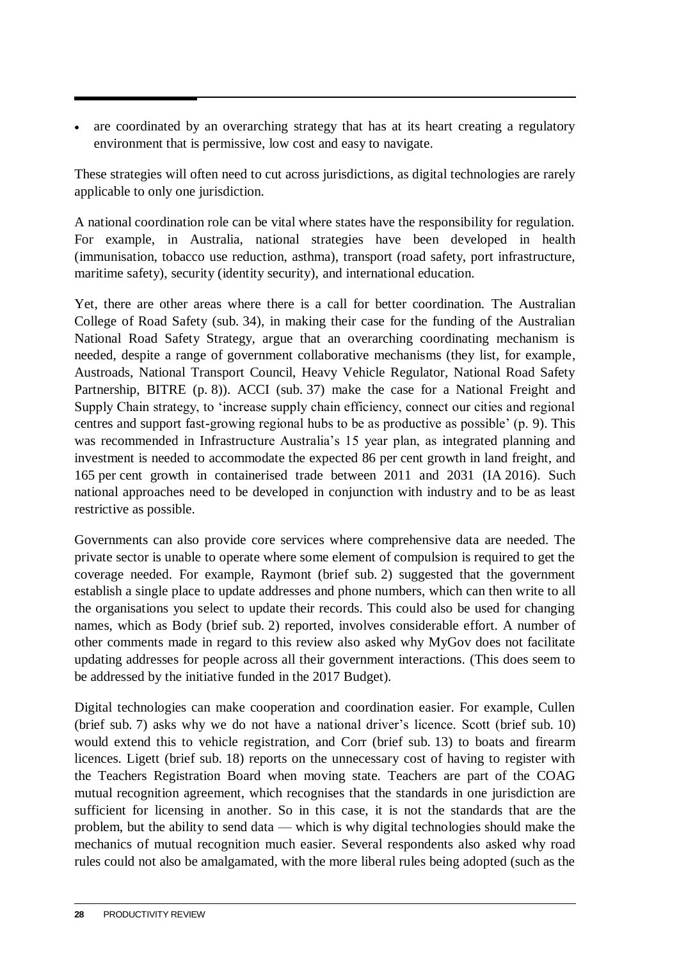• are coordinated by an overarching strategy that has at its heart creating a regulatory environment that is permissive, low cost and easy to navigate.

These strategies will often need to cut across jurisdictions, as digital technologies are rarely applicable to only one jurisdiction.

A national coordination role can be vital where states have the responsibility for regulation. For example, in Australia, national strategies have been developed in health (immunisation, tobacco use reduction, asthma), transport (road safety, port infrastructure, maritime safety), security (identity security), and international education.

Yet, there are other areas where there is a call for better coordination. The Australian College of Road Safety (sub. 34), in making their case for the funding of the Australian National Road Safety Strategy, argue that an overarching coordinating mechanism is needed, despite a range of government collaborative mechanisms (they list, for example, Austroads, National Transport Council, Heavy Vehicle Regulator, National Road Safety Partnership, BITRE (p. 8)). ACCI (sub. 37) make the case for a National Freight and Supply Chain strategy, to 'increase supply chain efficiency, connect our cities and regional centres and support fast-growing regional hubs to be as productive as possible' (p. 9). This was recommended in Infrastructure Australia's 15 year plan, as integrated planning and investment is needed to accommodate the expected 86 per cent growth in land freight, and 165 per cent growth in containerised trade between 2011 and 2031 (IA 2016). Such national approaches need to be developed in conjunction with industry and to be as least restrictive as possible.

Governments can also provide core services where comprehensive data are needed. The private sector is unable to operate where some element of compulsion is required to get the coverage needed. For example, Raymont (brief sub. 2) suggested that the government establish a single place to update addresses and phone numbers, which can then write to all the organisations you select to update their records. This could also be used for changing names, which as Body (brief sub. 2) reported, involves considerable effort. A number of other comments made in regard to this review also asked why MyGov does not facilitate updating addresses for people across all their government interactions. (This does seem to be addressed by the initiative funded in the 2017 Budget).

Digital technologies can make cooperation and coordination easier. For example, Cullen (brief sub. 7) asks why we do not have a national driver's licence. Scott (brief sub. 10) would extend this to vehicle registration, and Corr (brief sub. 13) to boats and firearm licences. Ligett (brief sub. 18) reports on the unnecessary cost of having to register with the Teachers Registration Board when moving state. Teachers are part of the COAG mutual recognition agreement, which recognises that the standards in one jurisdiction are sufficient for licensing in another. So in this case, it is not the standards that are the problem, but the ability to send data — which is why digital technologies should make the mechanics of mutual recognition much easier. Several respondents also asked why road rules could not also be amalgamated, with the more liberal rules being adopted (such as the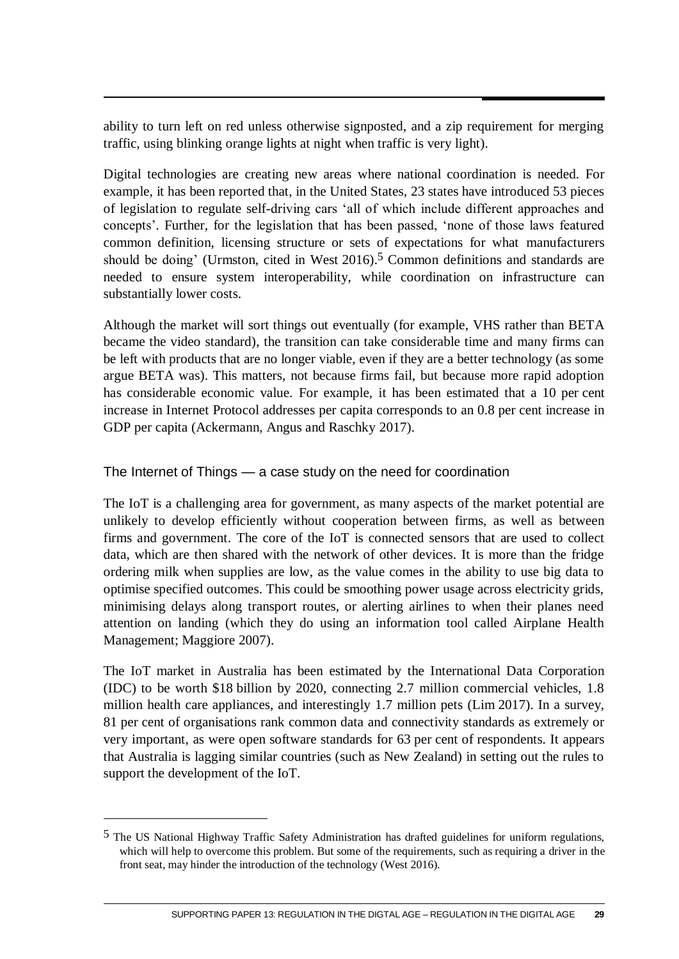ability to turn left on red unless otherwise signposted, and a zip requirement for merging traffic, using blinking orange lights at night when traffic is very light).

Digital technologies are creating new areas where national coordination is needed. For example, it has been reported that, in the United States, 23 states have introduced 53 pieces of legislation to regulate self-driving cars 'all of which include different approaches and concepts'. Further, for the legislation that has been passed, 'none of those laws featured common definition, licensing structure or sets of expectations for what manufacturers should be doing' (Urmston, cited in West 2016). 5 Common definitions and standards are needed to ensure system interoperability, while coordination on infrastructure can substantially lower costs.

Although the market will sort things out eventually (for example, VHS rather than BETA became the video standard), the transition can take considerable time and many firms can be left with products that are no longer viable, even if they are a better technology (as some argue BETA was). This matters, not because firms fail, but because more rapid adoption has considerable economic value. For example, it has been estimated that a 10 per cent increase in Internet Protocol addresses per capita corresponds to an 0.8 per cent increase in GDP per capita (Ackermann, Angus and Raschky 2017).

The Internet of Things — a case study on the need for coordination

The IoT is a challenging area for government, as many aspects of the market potential are unlikely to develop efficiently without cooperation between firms, as well as between firms and government. The core of the IoT is connected sensors that are used to collect data, which are then shared with the network of other devices. It is more than the fridge ordering milk when supplies are low, as the value comes in the ability to use big data to optimise specified outcomes. This could be smoothing power usage across electricity grids, minimising delays along transport routes, or alerting airlines to when their planes need attention on landing (which they do using an information tool called Airplane Health Management; Maggiore 2007).

The IoT market in Australia has been estimated by the International Data Corporation (IDC) to be worth \$18 billion by 2020, connecting 2.7 million commercial vehicles, 1.8 million health care appliances, and interestingly 1.7 million pets (Lim 2017). In a survey, 81 per cent of organisations rank common data and connectivity standards as extremely or very important, as were open software standards for 63 per cent of respondents. It appears that Australia is lagging similar countries (such as New Zealand) in setting out the rules to support the development of the IoT.

 $\overline{a}$ 

<sup>5</sup> The US National Highway Traffic Safety Administration has drafted guidelines for uniform regulations, which will help to overcome this problem. But some of the requirements, such as requiring a driver in the front seat, may hinder the introduction of the technology (West 2016).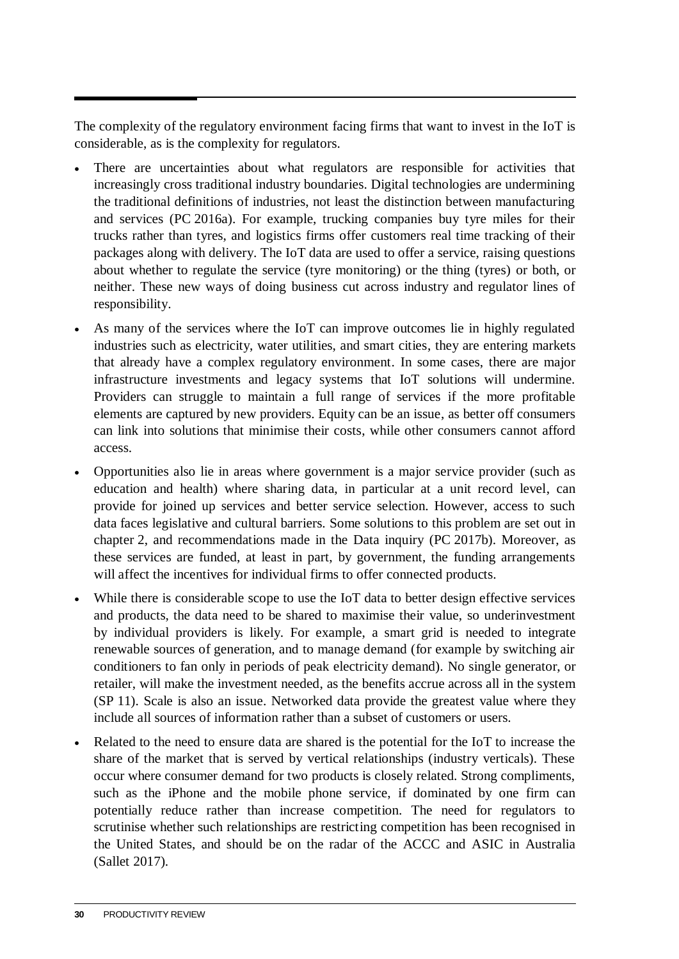The complexity of the regulatory environment facing firms that want to invest in the IoT is considerable, as is the complexity for regulators.

- There are uncertainties about what regulators are responsible for activities that increasingly cross traditional industry boundaries. Digital technologies are undermining the traditional definitions of industries, not least the distinction between manufacturing and services (PC 2016a). For example, trucking companies buy tyre miles for their trucks rather than tyres, and logistics firms offer customers real time tracking of their packages along with delivery. The IoT data are used to offer a service, raising questions about whether to regulate the service (tyre monitoring) or the thing (tyres) or both, or neither. These new ways of doing business cut across industry and regulator lines of responsibility.
- As many of the services where the IoT can improve outcomes lie in highly regulated industries such as electricity, water utilities, and smart cities, they are entering markets that already have a complex regulatory environment. In some cases, there are major infrastructure investments and legacy systems that IoT solutions will undermine. Providers can struggle to maintain a full range of services if the more profitable elements are captured by new providers. Equity can be an issue, as better off consumers can link into solutions that minimise their costs, while other consumers cannot afford access.
- Opportunities also lie in areas where government is a major service provider (such as education and health) where sharing data, in particular at a unit record level, can provide for joined up services and better service selection. However, access to such data faces legislative and cultural barriers. Some solutions to this problem are set out in chapter 2, and recommendations made in the Data inquiry (PC 2017b). Moreover, as these services are funded, at least in part, by government, the funding arrangements will affect the incentives for individual firms to offer connected products.
- While there is considerable scope to use the IoT data to better design effective services and products, the data need to be shared to maximise their value, so underinvestment by individual providers is likely. For example, a smart grid is needed to integrate renewable sources of generation, and to manage demand (for example by switching air conditioners to fan only in periods of peak electricity demand). No single generator, or retailer, will make the investment needed, as the benefits accrue across all in the system (SP 11). Scale is also an issue. Networked data provide the greatest value where they include all sources of information rather than a subset of customers or users.
- Related to the need to ensure data are shared is the potential for the IoT to increase the share of the market that is served by vertical relationships (industry verticals). These occur where consumer demand for two products is closely related. Strong compliments, such as the iPhone and the mobile phone service, if dominated by one firm can potentially reduce rather than increase competition. The need for regulators to scrutinise whether such relationships are restricting competition has been recognised in the United States, and should be on the radar of the ACCC and ASIC in Australia (Sallet 2017).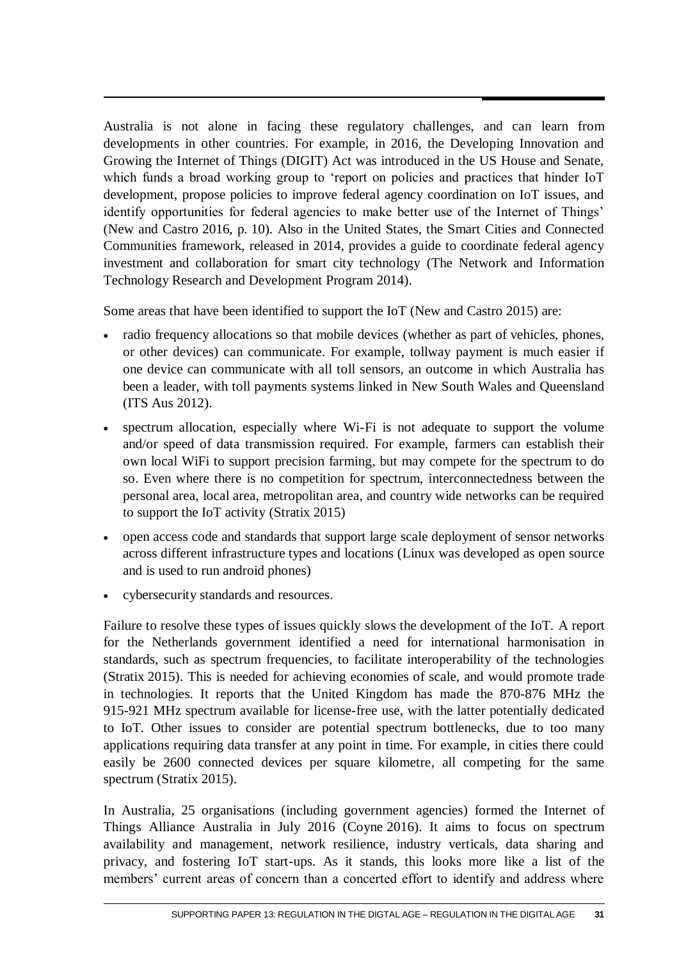Australia is not alone in facing these regulatory challenges, and can learn from developments in other countries. For example, in 2016, the Developing Innovation and Growing the Internet of Things (DIGIT) Act was introduced in the US House and Senate, which funds a broad working group to 'report on policies and practices that hinder IoT development, propose policies to improve federal agency coordination on IoT issues, and identify opportunities for federal agencies to make better use of the Internet of Things' (New and Castro 2016, p. 10). Also in the United States, the Smart Cities and Connected Communities framework, released in 2014, provides a guide to coordinate federal agency investment and collaboration for smart city technology (The Network and Information Technology Research and Development Program 2014).

Some areas that have been identified to support the IoT (New and Castro 2015) are:

- radio frequency allocations so that mobile devices (whether as part of vehicles, phones, or other devices) can communicate. For example, tollway payment is much easier if one device can communicate with all toll sensors, an outcome in which Australia has been a leader, with toll payments systems linked in New South Wales and Queensland (ITS Aus 2012).
- spectrum allocation, especially where Wi-Fi is not adequate to support the volume and/or speed of data transmission required. For example, farmers can establish their own local WiFi to support precision farming, but may compete for the spectrum to do so. Even where there is no competition for spectrum, interconnectedness between the personal area, local area, metropolitan area, and country wide networks can be required to support the IoT activity (Stratix 2015)
- open access code and standards that support large scale deployment of sensor networks across different infrastructure types and locations (Linux was developed as open source and is used to run android phones)
- cybersecurity standards and resources.

Failure to resolve these types of issues quickly slows the development of the IoT. A report for the Netherlands government identified a need for international harmonisation in standards, such as spectrum frequencies, to facilitate interoperability of the technologies (Stratix 2015). This is needed for achieving economies of scale, and would promote trade in technologies. It reports that the United Kingdom has made the 870-876 MHz the 915-921 MHz spectrum available for license-free use, with the latter potentially dedicated to IoT. Other issues to consider are potential spectrum bottlenecks, due to too many applications requiring data transfer at any point in time. For example, in cities there could easily be 2600 connected devices per square kilometre, all competing for the same spectrum (Stratix 2015).

In Australia, 25 organisations (including government agencies) formed the Internet of Things Alliance Australia in July 2016 (Coyne 2016). It aims to focus on spectrum availability and management, network resilience, industry verticals, data sharing and privacy, and fostering IoT start-ups. As it stands, this looks more like a list of the members' current areas of concern than a concerted effort to identify and address where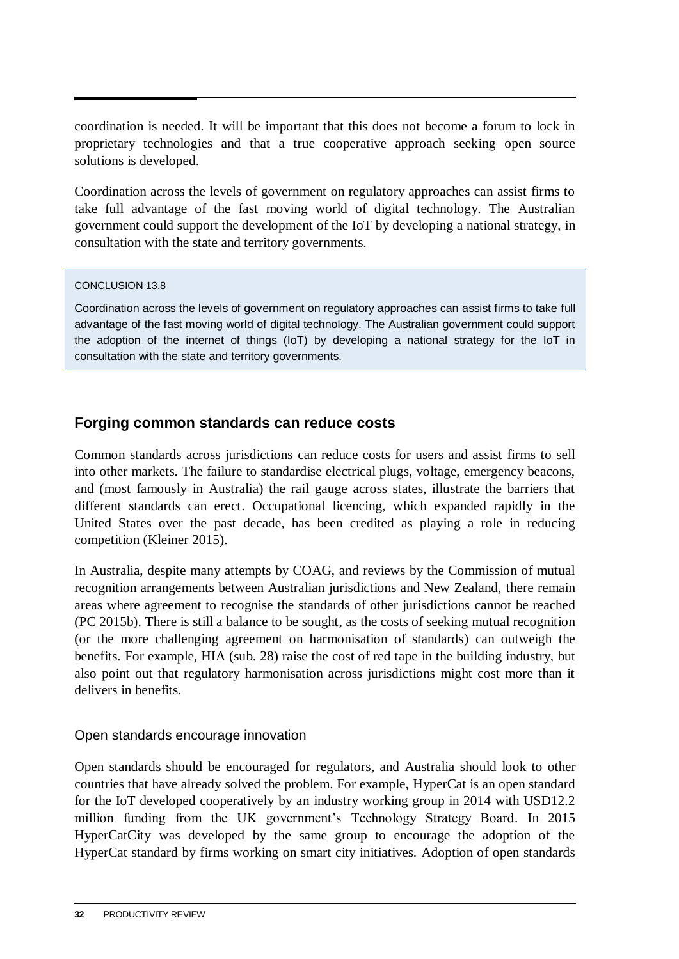coordination is needed. It will be important that this does not become a forum to lock in proprietary technologies and that a true cooperative approach seeking open source solutions is developed.

Coordination across the levels of government on regulatory approaches can assist firms to take full advantage of the fast moving world of digital technology. The Australian government could support the development of the IoT by developing a national strategy, in consultation with the state and territory governments.

### CONCLUSION 13.8

Coordination across the levels of government on regulatory approaches can assist firms to take full advantage of the fast moving world of digital technology. The Australian government could support the adoption of the internet of things (IoT) by developing a national strategy for the IoT in consultation with the state and territory governments.

# **Forging common standards can reduce costs**

Common standards across jurisdictions can reduce costs for users and assist firms to sell into other markets. The failure to standardise electrical plugs, voltage, emergency beacons, and (most famously in Australia) the rail gauge across states, illustrate the barriers that different standards can erect. Occupational licencing, which expanded rapidly in the United States over the past decade, has been credited as playing a role in reducing competition (Kleiner 2015).

In Australia, despite many attempts by COAG, and reviews by the Commission of mutual recognition arrangements between Australian jurisdictions and New Zealand, there remain areas where agreement to recognise the standards of other jurisdictions cannot be reached (PC 2015b). There is still a balance to be sought, as the costs of seeking mutual recognition (or the more challenging agreement on harmonisation of standards) can outweigh the benefits. For example, HIA (sub. 28) raise the cost of red tape in the building industry, but also point out that regulatory harmonisation across jurisdictions might cost more than it delivers in benefits.

### Open standards encourage innovation

Open standards should be encouraged for regulators, and Australia should look to other countries that have already solved the problem. For example, HyperCat is an open standard for the IoT developed cooperatively by an industry working group in 2014 with USD12.2 million funding from the UK government's Technology Strategy Board. In 2015 HyperCatCity was developed by the same group to encourage the adoption of the HyperCat standard by firms working on smart city initiatives. Adoption of open standards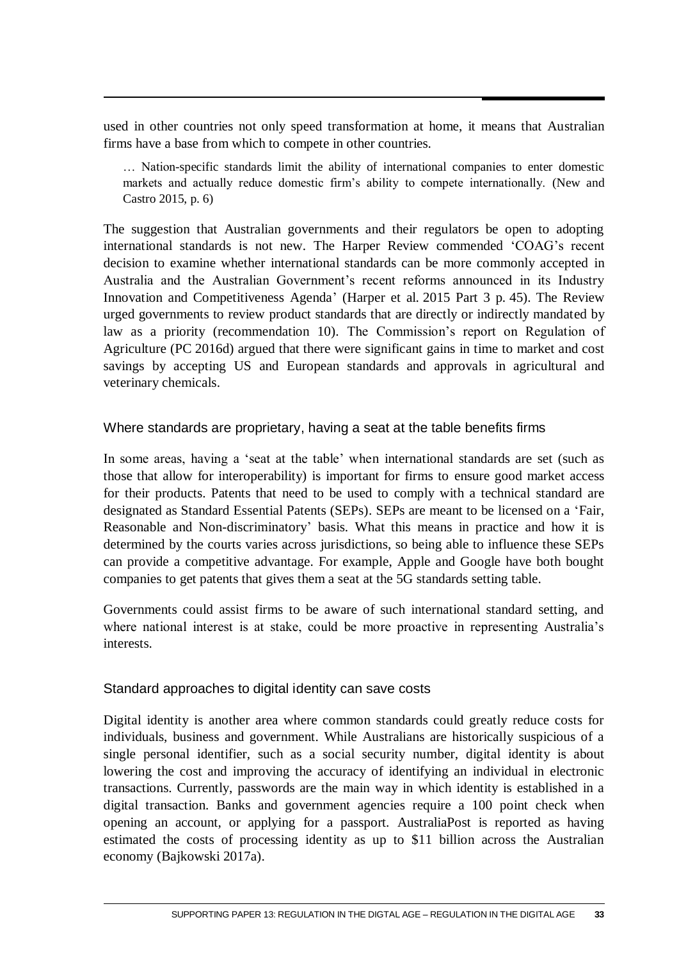used in other countries not only speed transformation at home, it means that Australian firms have a base from which to compete in other countries.

… Nation-specific standards limit the ability of international companies to enter domestic markets and actually reduce domestic firm's ability to compete internationally. (New and Castro 2015, p. 6)

The suggestion that Australian governments and their regulators be open to adopting international standards is not new. The Harper Review commended 'COAG's recent decision to examine whether international standards can be more commonly accepted in Australia and the Australian Government's recent reforms announced in its Industry Innovation and Competitiveness Agenda' (Harper et al. 2015 Part 3 p. 45). The Review urged governments to review product standards that are directly or indirectly mandated by law as a priority (recommendation 10). The Commission's report on Regulation of Agriculture (PC 2016d) argued that there were significant gains in time to market and cost savings by accepting US and European standards and approvals in agricultural and veterinary chemicals.

### Where standards are proprietary, having a seat at the table benefits firms

In some areas, having a 'seat at the table' when international standards are set (such as those that allow for interoperability) is important for firms to ensure good market access for their products. Patents that need to be used to comply with a technical standard are designated as Standard Essential Patents (SEPs). SEPs are meant to be licensed on a 'Fair, Reasonable and Non-discriminatory' basis. What this means in practice and how it is determined by the courts varies across jurisdictions, so being able to influence these SEPs can provide a competitive advantage. For example, Apple and Google have both bought companies to get patents that gives them a seat at the 5G standards setting table.

Governments could assist firms to be aware of such international standard setting, and where national interest is at stake, could be more proactive in representing Australia's interests.

### Standard approaches to digital identity can save costs

Digital identity is another area where common standards could greatly reduce costs for individuals, business and government. While Australians are historically suspicious of a single personal identifier, such as a social security number, digital identity is about lowering the cost and improving the accuracy of identifying an individual in electronic transactions. Currently, passwords are the main way in which identity is established in a digital transaction. Banks and government agencies require a 100 point check when opening an account, or applying for a passport. AustraliaPost is reported as having estimated the costs of processing identity as up to \$11 billion across the Australian economy (Bajkowski 2017a).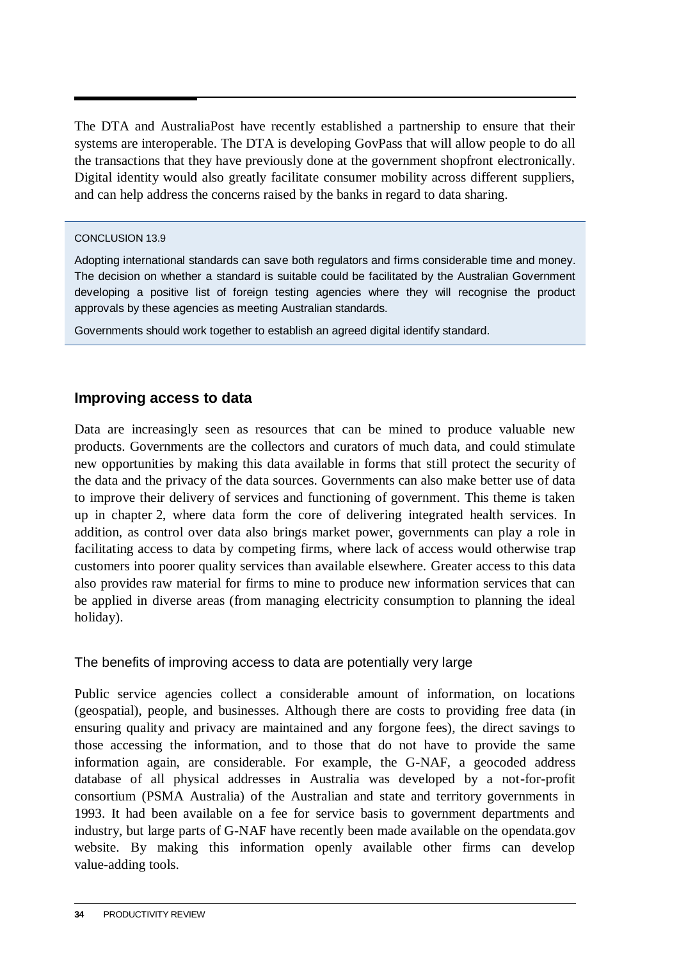The DTA and AustraliaPost have recently established a partnership to ensure that their systems are interoperable. The DTA is developing GovPass that will allow people to do all the transactions that they have previously done at the government shopfront electronically. Digital identity would also greatly facilitate consumer mobility across different suppliers, and can help address the concerns raised by the banks in regard to data sharing.

### CONCLUSION 13.9

Adopting international standards can save both regulators and firms considerable time and money. The decision on whether a standard is suitable could be facilitated by the Australian Government developing a positive list of foreign testing agencies where they will recognise the product approvals by these agencies as meeting Australian standards.

Governments should work together to establish an agreed digital identify standard.

# **Improving access to data**

Data are increasingly seen as resources that can be mined to produce valuable new products. Governments are the collectors and curators of much data, and could stimulate new opportunities by making this data available in forms that still protect the security of the data and the privacy of the data sources. Governments can also make better use of data to improve their delivery of services and functioning of government. This theme is taken up in chapter 2, where data form the core of delivering integrated health services. In addition, as control over data also brings market power, governments can play a role in facilitating access to data by competing firms, where lack of access would otherwise trap customers into poorer quality services than available elsewhere. Greater access to this data also provides raw material for firms to mine to produce new information services that can be applied in diverse areas (from managing electricity consumption to planning the ideal holiday).

The benefits of improving access to data are potentially very large

Public service agencies collect a considerable amount of information, on locations (geospatial), people, and businesses. Although there are costs to providing free data (in ensuring quality and privacy are maintained and any forgone fees), the direct savings to those accessing the information, and to those that do not have to provide the same information again, are considerable. For example, the G-NAF, a geocoded address database of all physical addresses in Australia was developed by a not-for-profit consortium (PSMA Australia) of the Australian and state and territory governments in 1993. It had been available on a fee for service basis to government departments and industry, but large parts of G-NAF have recently been made available on the opendata.gov website. By making this information openly available other firms can develop value-adding tools.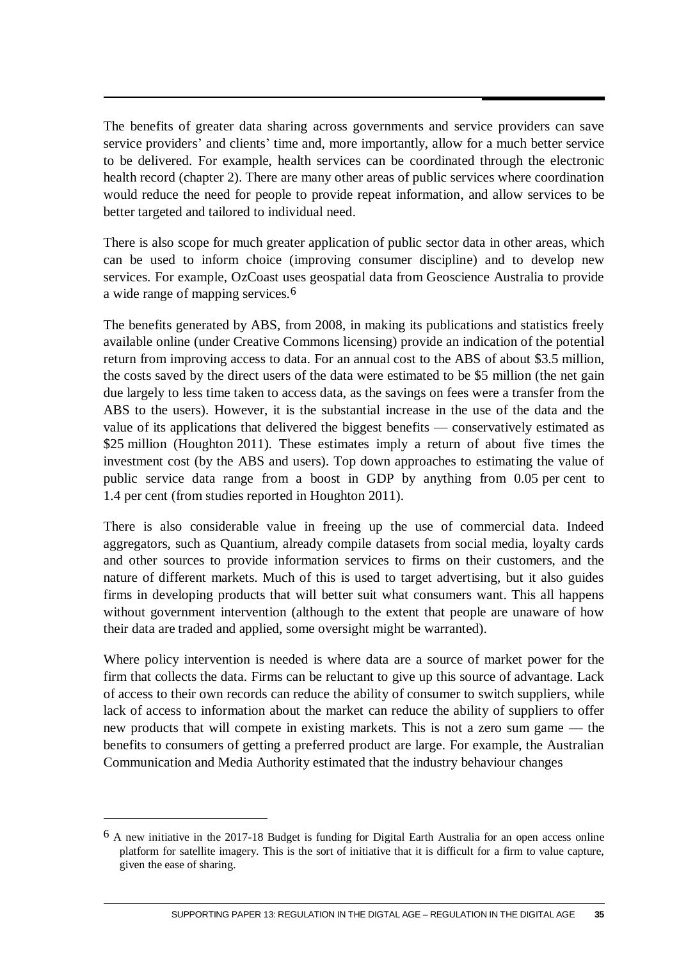The benefits of greater data sharing across governments and service providers can save service providers' and clients' time and, more importantly, allow for a much better service to be delivered. For example, health services can be coordinated through the electronic health record (chapter 2). There are many other areas of public services where coordination would reduce the need for people to provide repeat information, and allow services to be better targeted and tailored to individual need.

There is also scope for much greater application of public sector data in other areas, which can be used to inform choice (improving consumer discipline) and to develop new services. For example, OzCoast uses geospatial data from Geoscience Australia to provide a wide range of mapping services.6

The benefits generated by ABS, from 2008, in making its publications and statistics freely available online (under Creative Commons licensing) provide an indication of the potential return from improving access to data. For an annual cost to the ABS of about \$3.5 million, the costs saved by the direct users of the data were estimated to be \$5 million (the net gain due largely to less time taken to access data, as the savings on fees were a transfer from the ABS to the users). However, it is the substantial increase in the use of the data and the value of its applications that delivered the biggest benefits — conservatively estimated as \$25 million (Houghton 2011). These estimates imply a return of about five times the investment cost (by the ABS and users). Top down approaches to estimating the value of public service data range from a boost in GDP by anything from 0.05 per cent to 1.4 per cent (from studies reported in Houghton 2011).

There is also considerable value in freeing up the use of commercial data. Indeed aggregators, such as Quantium, already compile datasets from social media, loyalty cards and other sources to provide information services to firms on their customers, and the nature of different markets. Much of this is used to target advertising, but it also guides firms in developing products that will better suit what consumers want. This all happens without government intervention (although to the extent that people are unaware of how their data are traded and applied, some oversight might be warranted).

Where policy intervention is needed is where data are a source of market power for the firm that collects the data. Firms can be reluctant to give up this source of advantage. Lack of access to their own records can reduce the ability of consumer to switch suppliers, while lack of access to information about the market can reduce the ability of suppliers to offer new products that will compete in existing markets. This is not a zero sum game — the benefits to consumers of getting a preferred product are large. For example, the Australian Communication and Media Authority estimated that the industry behaviour changes

 $\overline{a}$ 

 $6$  A new initiative in the 2017-18 Budget is funding for Digital Earth Australia for an open access online platform for satellite imagery. This is the sort of initiative that it is difficult for a firm to value capture, given the ease of sharing.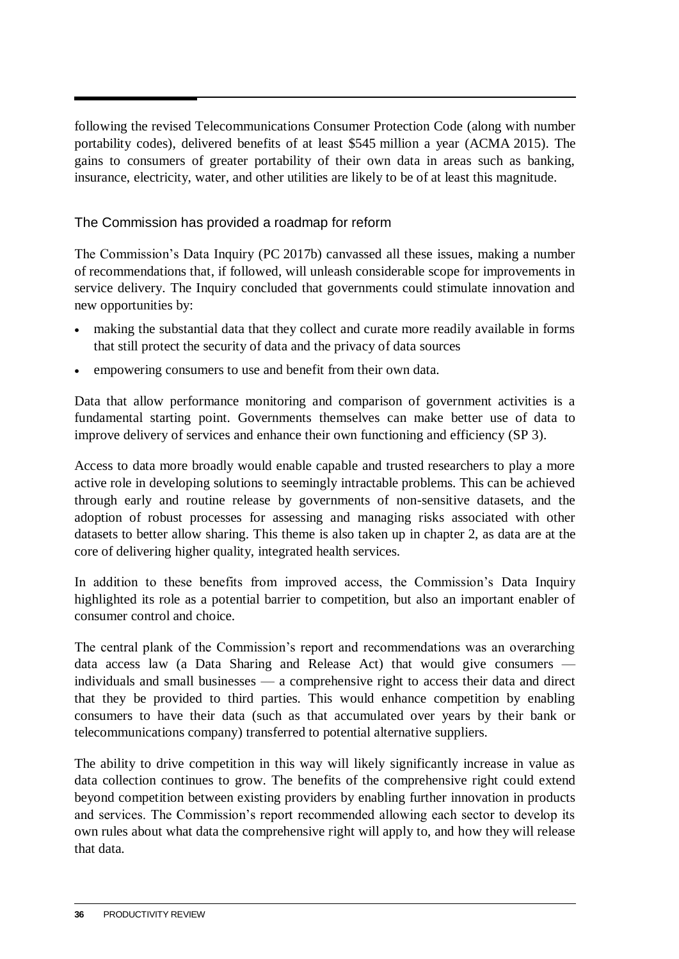following the revised Telecommunications Consumer Protection Code (along with number portability codes), delivered benefits of at least \$545 million a year (ACMA 2015). The gains to consumers of greater portability of their own data in areas such as banking, insurance, electricity, water, and other utilities are likely to be of at least this magnitude.

# The Commission has provided a roadmap for reform

The Commission's Data Inquiry (PC 2017b) canvassed all these issues, making a number of recommendations that, if followed, will unleash considerable scope for improvements in service delivery. The Inquiry concluded that governments could stimulate innovation and new opportunities by:

- making the substantial data that they collect and curate more readily available in forms that still protect the security of data and the privacy of data sources
- empowering consumers to use and benefit from their own data.

Data that allow performance monitoring and comparison of government activities is a fundamental starting point. Governments themselves can make better use of data to improve delivery of services and enhance their own functioning and efficiency (SP 3).

Access to data more broadly would enable capable and trusted researchers to play a more active role in developing solutions to seemingly intractable problems. This can be achieved through early and routine release by governments of non-sensitive datasets, and the adoption of robust processes for assessing and managing risks associated with other datasets to better allow sharing. This theme is also taken up in chapter 2, as data are at the core of delivering higher quality, integrated health services.

In addition to these benefits from improved access, the Commission's Data Inquiry highlighted its role as a potential barrier to competition, but also an important enabler of consumer control and choice.

The central plank of the Commission's report and recommendations was an overarching data access law (a Data Sharing and Release Act) that would give consumers individuals and small businesses — a comprehensive right to access their data and direct that they be provided to third parties. This would enhance competition by enabling consumers to have their data (such as that accumulated over years by their bank or telecommunications company) transferred to potential alternative suppliers.

The ability to drive competition in this way will likely significantly increase in value as data collection continues to grow. The benefits of the comprehensive right could extend beyond competition between existing providers by enabling further innovation in products and services. The Commission's report recommended allowing each sector to develop its own rules about what data the comprehensive right will apply to, and how they will release that data.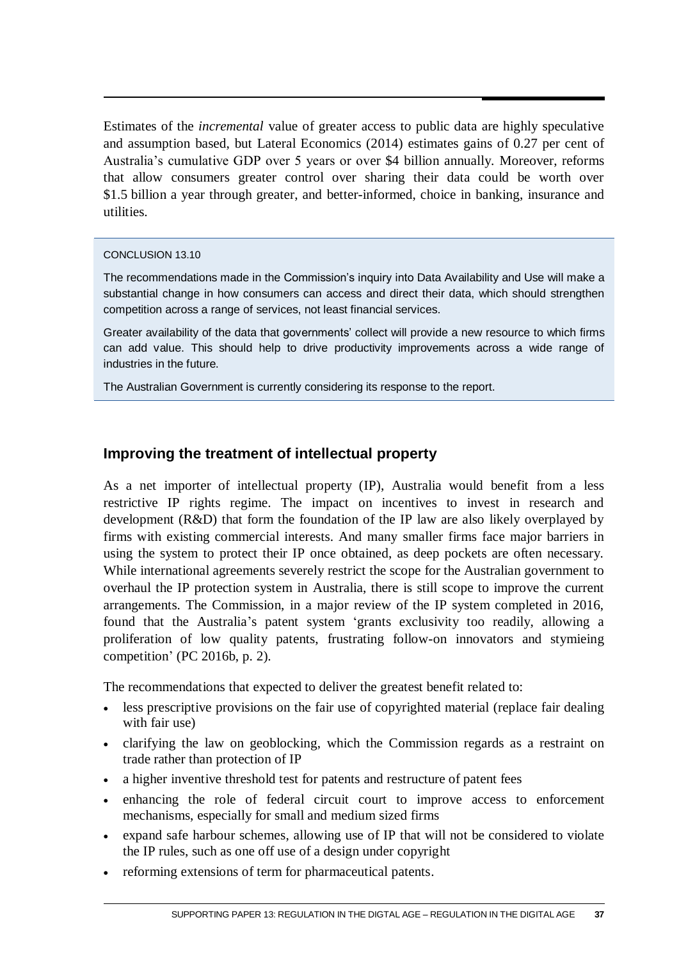Estimates of the *incremental* value of greater access to public data are highly speculative and assumption based, but Lateral Economics (2014) estimates gains of 0.27 per cent of Australia's cumulative GDP over 5 years or over \$4 billion annually. Moreover, reforms that allow consumers greater control over sharing their data could be worth over \$1.5 billion a year through greater, and better-informed, choice in banking, insurance and utilities.

### CONCLUSION 13.10

The recommendations made in the Commission's inquiry into Data Availability and Use will make a substantial change in how consumers can access and direct their data, which should strengthen competition across a range of services, not least financial services.

Greater availability of the data that governments' collect will provide a new resource to which firms can add value. This should help to drive productivity improvements across a wide range of industries in the future.

The Australian Government is currently considering its response to the report.

# **Improving the treatment of intellectual property**

As a net importer of intellectual property (IP), Australia would benefit from a less restrictive IP rights regime. The impact on incentives to invest in research and development (R&D) that form the foundation of the IP law are also likely overplayed by firms with existing commercial interests. And many smaller firms face major barriers in using the system to protect their IP once obtained, as deep pockets are often necessary. While international agreements severely restrict the scope for the Australian government to overhaul the IP protection system in Australia, there is still scope to improve the current arrangements. The Commission, in a major review of the IP system completed in 2016, found that the Australia's patent system 'grants exclusivity too readily, allowing a proliferation of low quality patents, frustrating follow-on innovators and stymieing competition' (PC 2016b, p. 2).

The recommendations that expected to deliver the greatest benefit related to:

- less prescriptive provisions on the fair use of copyrighted material (replace fair dealing with fair use)
- clarifying the law on geoblocking, which the Commission regards as a restraint on trade rather than protection of IP
- a higher inventive threshold test for patents and restructure of patent fees
- enhancing the role of federal circuit court to improve access to enforcement mechanisms, especially for small and medium sized firms
- expand safe harbour schemes, allowing use of IP that will not be considered to violate the IP rules, such as one off use of a design under copyright
- reforming extensions of term for pharmaceutical patents.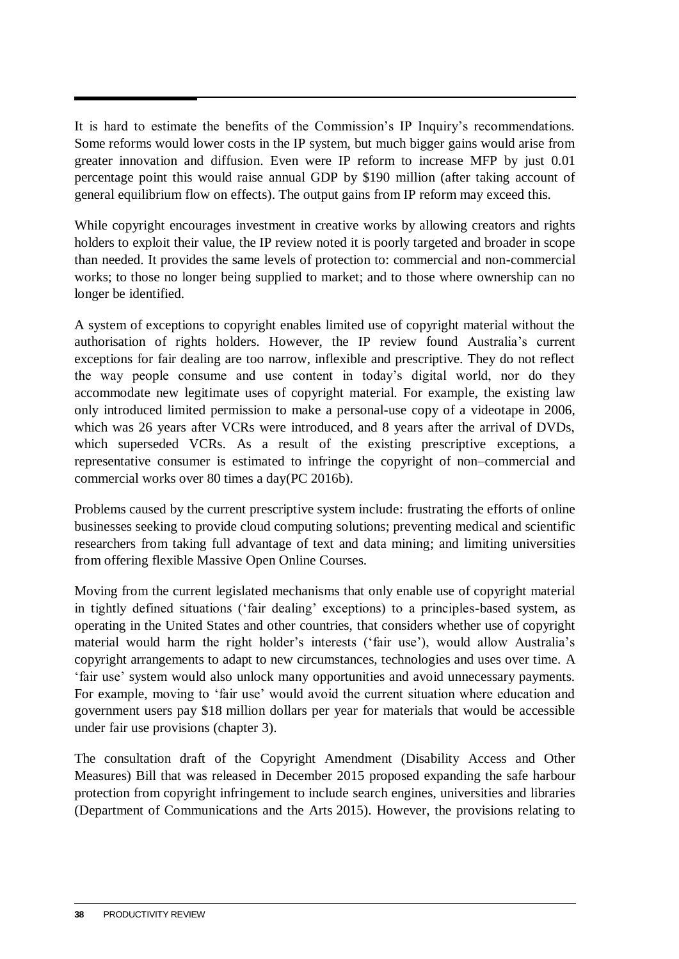It is hard to estimate the benefits of the Commission's IP Inquiry's recommendations. Some reforms would lower costs in the IP system, but much bigger gains would arise from greater innovation and diffusion. Even were IP reform to increase MFP by just 0.01 percentage point this would raise annual GDP by \$190 million (after taking account of general equilibrium flow on effects). The output gains from IP reform may exceed this.

While copyright encourages investment in creative works by allowing creators and rights holders to exploit their value, the IP review noted it is poorly targeted and broader in scope than needed. It provides the same levels of protection to: commercial and non-commercial works; to those no longer being supplied to market; and to those where ownership can no longer be identified.

A system of exceptions to copyright enables limited use of copyright material without the authorisation of rights holders. However, the IP review found Australia's current exceptions for fair dealing are too narrow, inflexible and prescriptive. They do not reflect the way people consume and use content in today's digital world, nor do they accommodate new legitimate uses of copyright material. For example, the existing law only introduced limited permission to make a personal-use copy of a videotape in 2006, which was 26 years after VCRs were introduced, and 8 years after the arrival of DVDs, which superseded VCRs. As a result of the existing prescriptive exceptions, a representative consumer is estimated to infringe the copyright of non–commercial and commercial works over 80 times a day(PC 2016b).

Problems caused by the current prescriptive system include: frustrating the efforts of online businesses seeking to provide cloud computing solutions; preventing medical and scientific researchers from taking full advantage of text and data mining; and limiting universities from offering flexible Massive Open Online Courses.

Moving from the current legislated mechanisms that only enable use of copyright material in tightly defined situations ('fair dealing' exceptions) to a principles-based system, as operating in the United States and other countries, that considers whether use of copyright material would harm the right holder's interests ('fair use'), would allow Australia's copyright arrangements to adapt to new circumstances, technologies and uses over time. A 'fair use' system would also unlock many opportunities and avoid unnecessary payments. For example, moving to 'fair use' would avoid the current situation where education and government users pay \$18 million dollars per year for materials that would be accessible under fair use provisions (chapter 3).

The consultation draft of the Copyright Amendment (Disability Access and Other Measures) Bill that was released in December 2015 proposed expanding the safe harbour protection from copyright infringement to include search engines, universities and libraries (Department of Communications and the Arts 2015). However, the provisions relating to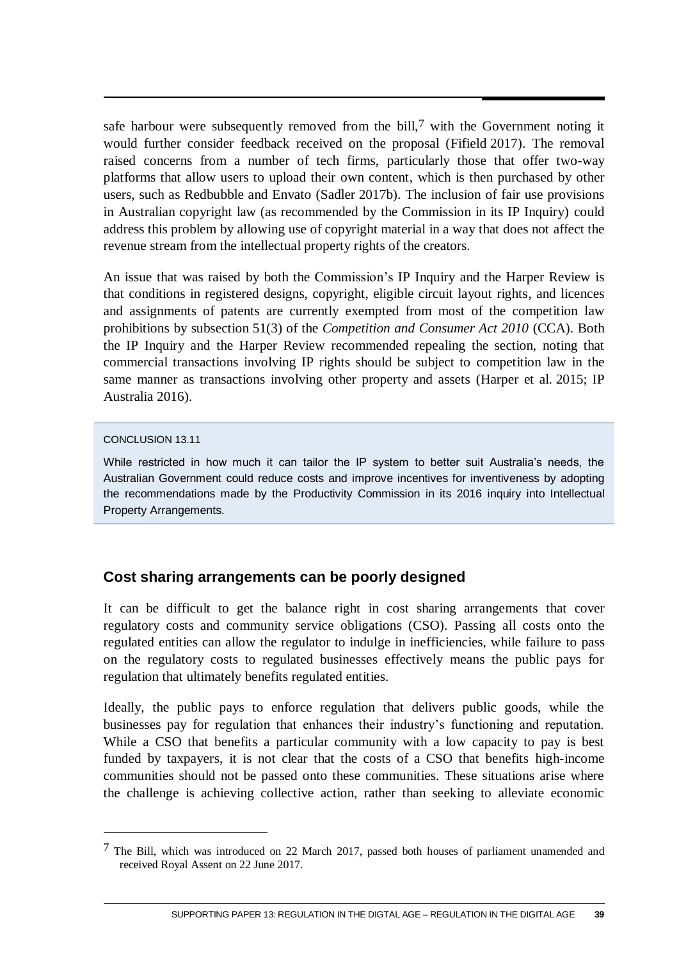safe harbour were subsequently removed from the bill,<sup>7</sup> with the Government noting it would further consider feedback received on the proposal (Fifield 2017). The removal raised concerns from a number of tech firms, particularly those that offer two-way platforms that allow users to upload their own content, which is then purchased by other users, such as Redbubble and Envato (Sadler 2017b). The inclusion of fair use provisions in Australian copyright law (as recommended by the Commission in its IP Inquiry) could address this problem by allowing use of copyright material in a way that does not affect the revenue stream from the intellectual property rights of the creators.

An issue that was raised by both the Commission's IP Inquiry and the Harper Review is that conditions in registered designs, copyright, eligible circuit layout rights, and licences and assignments of patents are currently exempted from most of the competition law prohibitions by subsection 51(3) of the *Competition and Consumer Act 2010* (CCA). Both the IP Inquiry and the Harper Review recommended repealing the section, noting that commercial transactions involving IP rights should be subject to competition law in the same manner as transactions involving other property and assets (Harper et al. 2015; IP Australia 2016).

### CONCLUSION 13.11

 $\overline{a}$ 

While restricted in how much it can tailor the IP system to better suit Australia's needs, the Australian Government could reduce costs and improve incentives for inventiveness by adopting the recommendations made by the Productivity Commission in its 2016 inquiry into Intellectual Property Arrangements.

# **Cost sharing arrangements can be poorly designed**

It can be difficult to get the balance right in cost sharing arrangements that cover regulatory costs and community service obligations (CSO). Passing all costs onto the regulated entities can allow the regulator to indulge in inefficiencies, while failure to pass on the regulatory costs to regulated businesses effectively means the public pays for regulation that ultimately benefits regulated entities.

Ideally, the public pays to enforce regulation that delivers public goods, while the businesses pay for regulation that enhances their industry's functioning and reputation. While a CSO that benefits a particular community with a low capacity to pay is best funded by taxpayers, it is not clear that the costs of a CSO that benefits high-income communities should not be passed onto these communities. These situations arise where the challenge is achieving collective action, rather than seeking to alleviate economic

<sup>7</sup> The Bill, which was introduced on 22 March 2017, passed both houses of parliament unamended and received Royal Assent on 22 June 2017.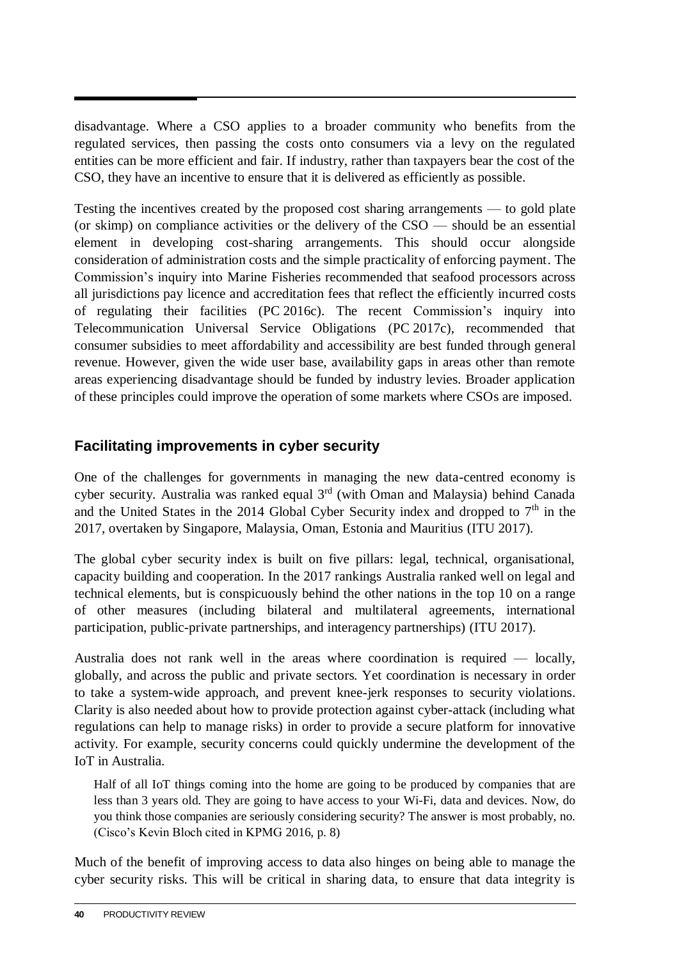disadvantage. Where a CSO applies to a broader community who benefits from the regulated services, then passing the costs onto consumers via a levy on the regulated entities can be more efficient and fair. If industry, rather than taxpayers bear the cost of the CSO, they have an incentive to ensure that it is delivered as efficiently as possible.

Testing the incentives created by the proposed cost sharing arrangements — to gold plate (or skimp) on compliance activities or the delivery of the CSO — should be an essential element in developing cost-sharing arrangements. This should occur alongside consideration of administration costs and the simple practicality of enforcing payment. The Commission's inquiry into Marine Fisheries recommended that seafood processors across all jurisdictions pay licence and accreditation fees that reflect the efficiently incurred costs of regulating their facilities (PC 2016c). The recent Commission's inquiry into Telecommunication Universal Service Obligations (PC 2017c), recommended that consumer subsidies to meet affordability and accessibility are best funded through general revenue. However, given the wide user base, availability gaps in areas other than remote areas experiencing disadvantage should be funded by industry levies. Broader application of these principles could improve the operation of some markets where CSOs are imposed.

# **Facilitating improvements in cyber security**

One of the challenges for governments in managing the new data-centred economy is cyber security. Australia was ranked equal  $3<sup>rd</sup>$  (with Oman and Malaysia) behind Canada and the United States in the 2014 Global Cyber Security index and dropped to  $7<sup>th</sup>$  in the 2017, overtaken by Singapore, Malaysia, Oman, Estonia and Mauritius (ITU 2017).

The global cyber security index is built on five pillars: legal, technical, organisational, capacity building and cooperation. In the 2017 rankings Australia ranked well on legal and technical elements, but is conspicuously behind the other nations in the top 10 on a range of other measures (including bilateral and multilateral agreements, international participation, public-private partnerships, and interagency partnerships) (ITU 2017).

Australia does not rank well in the areas where coordination is required — locally, globally, and across the public and private sectors. Yet coordination is necessary in order to take a system-wide approach, and prevent knee-jerk responses to security violations. Clarity is also needed about how to provide protection against cyber-attack (including what regulations can help to manage risks) in order to provide a secure platform for innovative activity. For example, security concerns could quickly undermine the development of the IoT in Australia.

Half of all IoT things coming into the home are going to be produced by companies that are less than 3 years old. They are going to have access to your Wi-Fi, data and devices. Now, do you think those companies are seriously considering security? The answer is most probably, no. (Cisco's Kevin Bloch cited in KPMG 2016, p. 8)

Much of the benefit of improving access to data also hinges on being able to manage the cyber security risks. This will be critical in sharing data, to ensure that data integrity is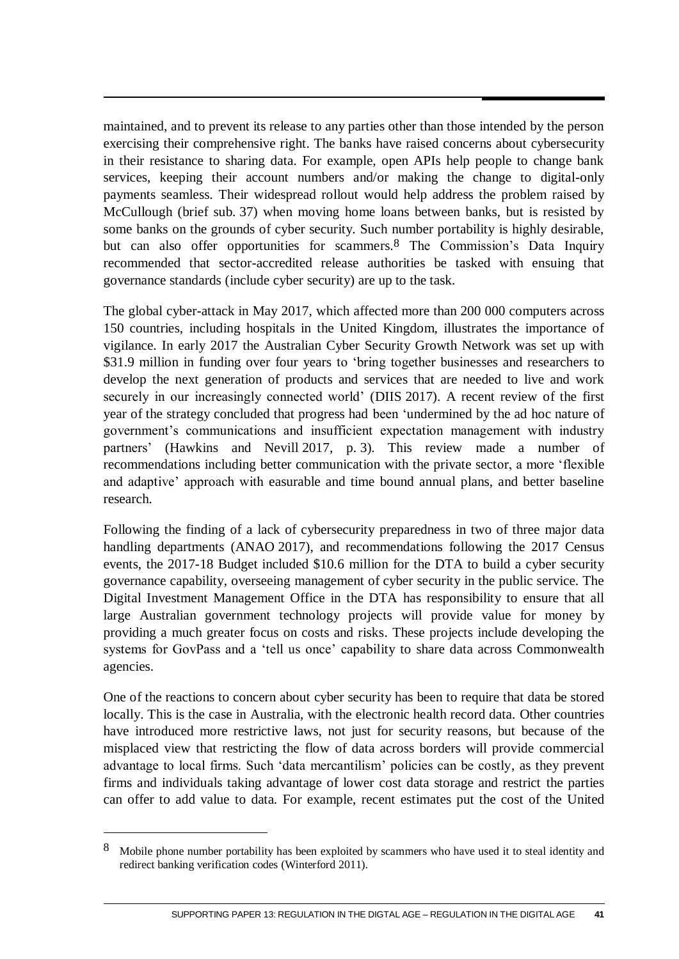maintained, and to prevent its release to any parties other than those intended by the person exercising their comprehensive right. The banks have raised concerns about cybersecurity in their resistance to sharing data. For example, open APIs help people to change bank services, keeping their account numbers and/or making the change to digital-only payments seamless. Their widespread rollout would help address the problem raised by McCullough (brief sub. 37) when moving home loans between banks, but is resisted by some banks on the grounds of cyber security. Such number portability is highly desirable, but can also offer opportunities for scammers.<sup>8</sup> The Commission's Data Inquiry recommended that sector-accredited release authorities be tasked with ensuing that governance standards (include cyber security) are up to the task.

The global cyber-attack in May 2017, which affected more than 200 000 computers across 150 countries, including hospitals in the United Kingdom, illustrates the importance of vigilance. In early 2017 the Australian Cyber Security Growth Network was set up with \$31.9 million in funding over four years to 'bring together businesses and researchers to develop the next generation of products and services that are needed to live and work securely in our increasingly connected world' (DIIS 2017). A recent review of the first year of the strategy concluded that progress had been 'undermined by the ad hoc nature of government's communications and insufficient expectation management with industry partners' (Hawkins and Nevill 2017, p. 3). This review made a number of recommendations including better communication with the private sector, a more 'flexible and adaptive' approach with easurable and time bound annual plans, and better baseline research.

Following the finding of a lack of cybersecurity preparedness in two of three major data handling departments (ANAO 2017), and recommendations following the 2017 Census events, the 2017-18 Budget included \$10.6 million for the DTA to build a cyber security governance capability, overseeing management of cyber security in the public service. The Digital Investment Management Office in the DTA has responsibility to ensure that all large Australian government technology projects will provide value for money by providing a much greater focus on costs and risks. These projects include developing the systems for GovPass and a 'tell us once' capability to share data across Commonwealth agencies.

One of the reactions to concern about cyber security has been to require that data be stored locally. This is the case in Australia, with the electronic health record data. Other countries have introduced more restrictive laws, not just for security reasons, but because of the misplaced view that restricting the flow of data across borders will provide commercial advantage to local firms. Such 'data mercantilism' policies can be costly, as they prevent firms and individuals taking advantage of lower cost data storage and restrict the parties can offer to add value to data. For example, recent estimates put the cost of the United

 $\overline{a}$ 

<sup>8</sup> Mobile phone number portability has been exploited by scammers who have used it to steal identity and redirect banking verification codes (Winterford 2011).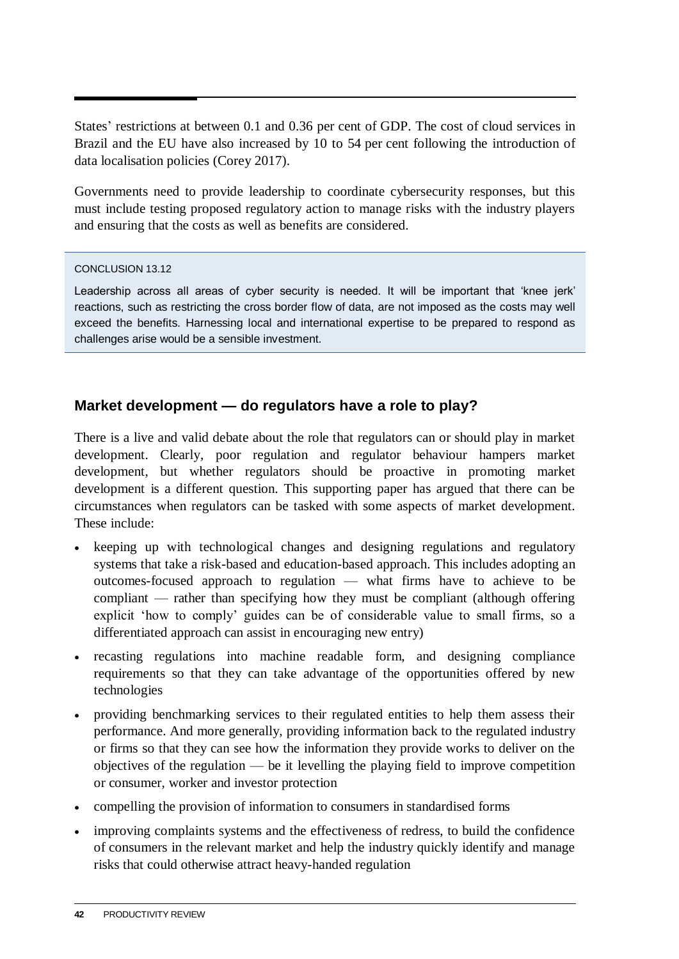States' restrictions at between 0.1 and 0.36 per cent of GDP. The cost of cloud services in Brazil and the EU have also increased by 10 to 54 per cent following the introduction of data localisation policies (Corey 2017).

Governments need to provide leadership to coordinate cybersecurity responses, but this must include testing proposed regulatory action to manage risks with the industry players and ensuring that the costs as well as benefits are considered.

### CONCLUSION 13.12

Leadership across all areas of cyber security is needed. It will be important that 'knee jerk' reactions, such as restricting the cross border flow of data, are not imposed as the costs may well exceed the benefits. Harnessing local and international expertise to be prepared to respond as challenges arise would be a sensible investment.

# **Market development — do regulators have a role to play?**

There is a live and valid debate about the role that regulators can or should play in market development. Clearly, poor regulation and regulator behaviour hampers market development, but whether regulators should be proactive in promoting market development is a different question. This supporting paper has argued that there can be circumstances when regulators can be tasked with some aspects of market development. These include:

- keeping up with technological changes and designing regulations and regulatory systems that take a risk-based and education-based approach. This includes adopting an outcomes-focused approach to regulation — what firms have to achieve to be compliant — rather than specifying how they must be compliant (although offering explicit 'how to comply' guides can be of considerable value to small firms, so a differentiated approach can assist in encouraging new entry)
- recasting regulations into machine readable form, and designing compliance requirements so that they can take advantage of the opportunities offered by new technologies
- providing benchmarking services to their regulated entities to help them assess their performance. And more generally, providing information back to the regulated industry or firms so that they can see how the information they provide works to deliver on the objectives of the regulation — be it levelling the playing field to improve competition or consumer, worker and investor protection
- compelling the provision of information to consumers in standardised forms
- improving complaints systems and the effectiveness of redress, to build the confidence of consumers in the relevant market and help the industry quickly identify and manage risks that could otherwise attract heavy-handed regulation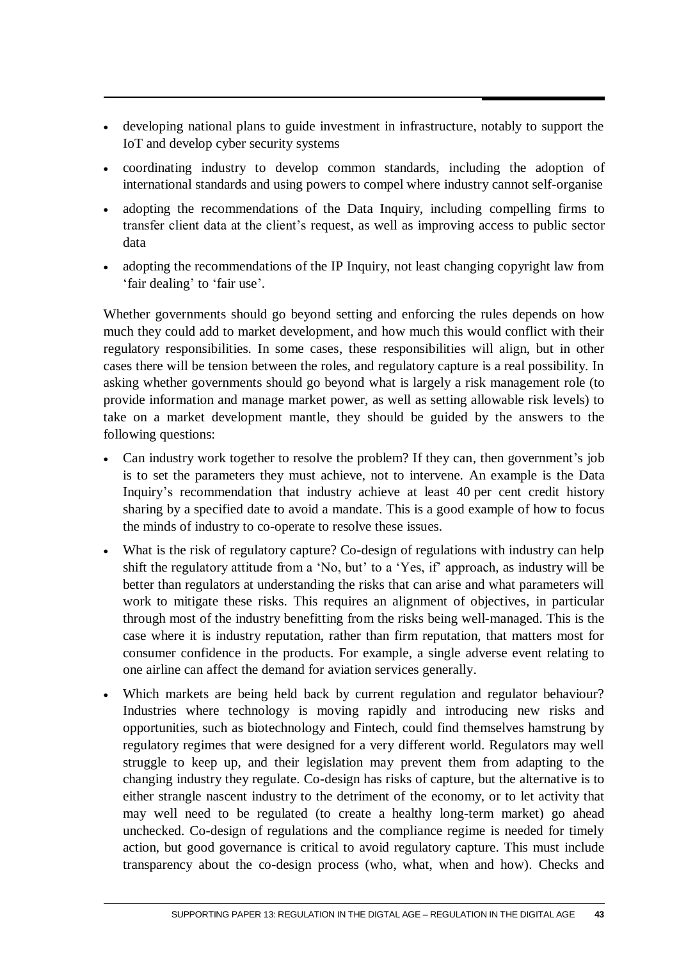- developing national plans to guide investment in infrastructure, notably to support the IoT and develop cyber security systems
- coordinating industry to develop common standards, including the adoption of international standards and using powers to compel where industry cannot self-organise
- adopting the recommendations of the Data Inquiry, including compelling firms to transfer client data at the client's request, as well as improving access to public sector data
- adopting the recommendations of the IP Inquiry, not least changing copyright law from 'fair dealing' to 'fair use'.

Whether governments should go beyond setting and enforcing the rules depends on how much they could add to market development, and how much this would conflict with their regulatory responsibilities. In some cases, these responsibilities will align, but in other cases there will be tension between the roles, and regulatory capture is a real possibility. In asking whether governments should go beyond what is largely a risk management role (to provide information and manage market power, as well as setting allowable risk levels) to take on a market development mantle, they should be guided by the answers to the following questions:

- Can industry work together to resolve the problem? If they can, then government's job is to set the parameters they must achieve, not to intervene. An example is the Data Inquiry's recommendation that industry achieve at least 40 per cent credit history sharing by a specified date to avoid a mandate. This is a good example of how to focus the minds of industry to co-operate to resolve these issues.
- What is the risk of regulatory capture? Co-design of regulations with industry can help shift the regulatory attitude from a 'No, but' to a 'Yes, if' approach, as industry will be better than regulators at understanding the risks that can arise and what parameters will work to mitigate these risks. This requires an alignment of objectives, in particular through most of the industry benefitting from the risks being well-managed. This is the case where it is industry reputation, rather than firm reputation, that matters most for consumer confidence in the products. For example, a single adverse event relating to one airline can affect the demand for aviation services generally.
- Which markets are being held back by current regulation and regulator behaviour? Industries where technology is moving rapidly and introducing new risks and opportunities, such as biotechnology and Fintech, could find themselves hamstrung by regulatory regimes that were designed for a very different world. Regulators may well struggle to keep up, and their legislation may prevent them from adapting to the changing industry they regulate. Co-design has risks of capture, but the alternative is to either strangle nascent industry to the detriment of the economy, or to let activity that may well need to be regulated (to create a healthy long-term market) go ahead unchecked. Co-design of regulations and the compliance regime is needed for timely action, but good governance is critical to avoid regulatory capture. This must include transparency about the co-design process (who, what, when and how). Checks and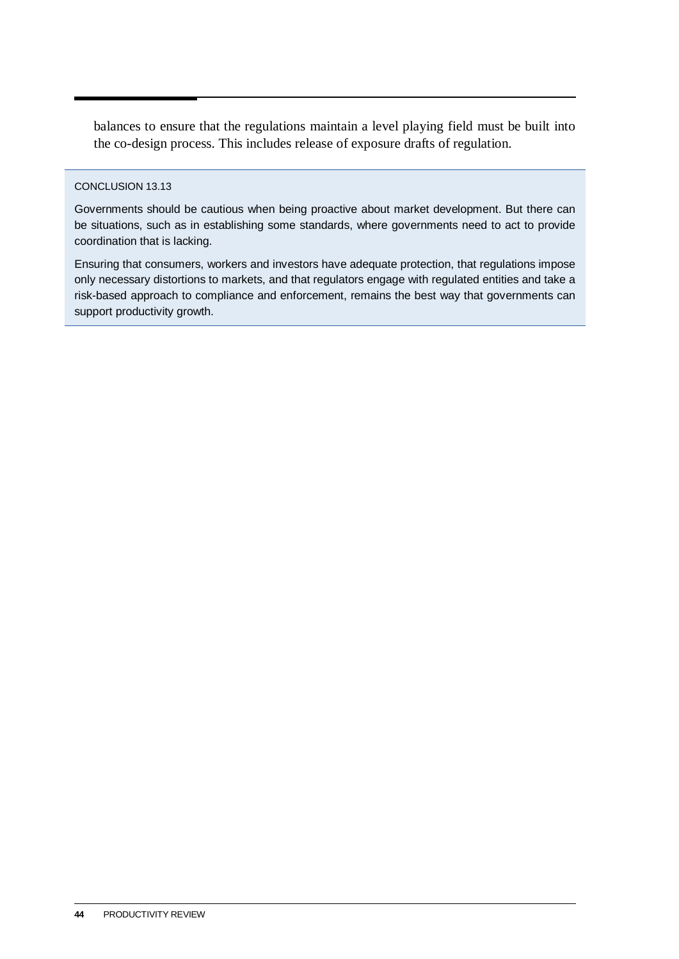balances to ensure that the regulations maintain a level playing field must be built into the co-design process. This includes release of exposure drafts of regulation.

### CONCLUSION 13.13

Governments should be cautious when being proactive about market development. But there can be situations, such as in establishing some standards, where governments need to act to provide coordination that is lacking.

Ensuring that consumers, workers and investors have adequate protection, that regulations impose only necessary distortions to markets, and that regulators engage with regulated entities and take a risk-based approach to compliance and enforcement, remains the best way that governments can support productivity growth.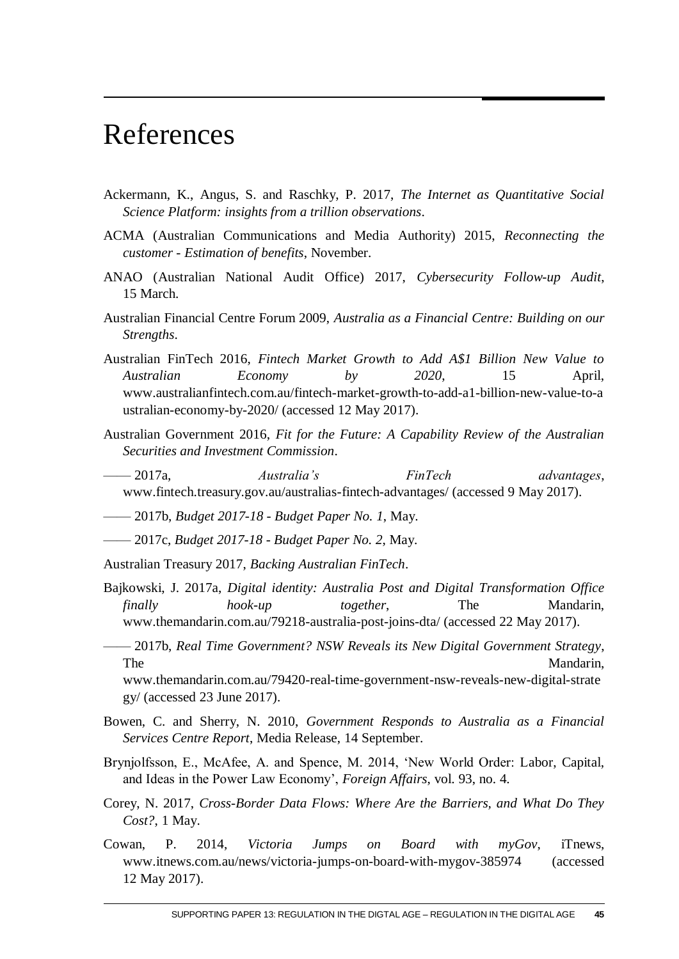# <span id="page-46-0"></span>References

- Ackermann, K., Angus, S. and Raschky, P. 2017, *The Internet as Quantitative Social Science Platform: insights from a trillion observations*.
- ACMA (Australian Communications and Media Authority) 2015, *Reconnecting the customer - Estimation of benefits*, November.
- ANAO (Australian National Audit Office) 2017, *Cybersecurity Follow-up Audit*, 15 March.
- Australian Financial Centre Forum 2009, *Australia as a Financial Centre: Building on our Strengths*.
- Australian FinTech 2016, *Fintech Market Growth to Add A\$1 Billion New Value to Australian Economy by 2020*, 15 April, www.australianfintech.com.au/fintech-market-growth-to-add-a1-billion-new-value-to-a ustralian-economy-by-2020/ (accessed 12 May 2017).
- Australian Government 2016, *Fit for the Future: A Capability Review of the Australian Securities and Investment Commission*.
- —— 2017a, *Australia's FinTech advantages*, www.fintech.treasury.gov.au/australias-fintech-advantages/ (accessed 9 May 2017).
- —— 2017b, *Budget 2017-18 - Budget Paper No. 1*, May.
- —— 2017c, *Budget 2017-18 - Budget Paper No. 2*, May.

Australian Treasury 2017, *Backing Australian FinTech*.

- Bajkowski, J. 2017a, *Digital identity: Australia Post and Digital Transformation Office finally hook-up together*, The Mandarin, www.themandarin.com.au/79218-australia-post-joins-dta/ (accessed 22 May 2017).
- —— 2017b, *Real Time Government? NSW Reveals its New Digital Government Strategy*, The Mandarin, www.themandarin.com.au/79420-real-time-government-nsw-reveals-new-digital-strate gy/ (accessed 23 June 2017).
- Bowen, C. and Sherry, N. 2010, *Government Responds to Australia as a Financial Services Centre Report*, Media Release, 14 September.
- Brynjolfsson, E., McAfee, A. and Spence, M. 2014, 'New World Order: Labor, Capital, and Ideas in the Power Law Economy', *Foreign Affairs*, vol. 93, no. 4.
- Corey, N. 2017, *Cross-Border Data Flows: Where Are the Barriers, and What Do They Cost?*, 1 May.
- Cowan, P. 2014, *Victoria Jumps on Board with myGov*, iTnews, www.itnews.com.au/news/victoria-jumps-on-board-with-mygov-385974 (accessed 12 May 2017).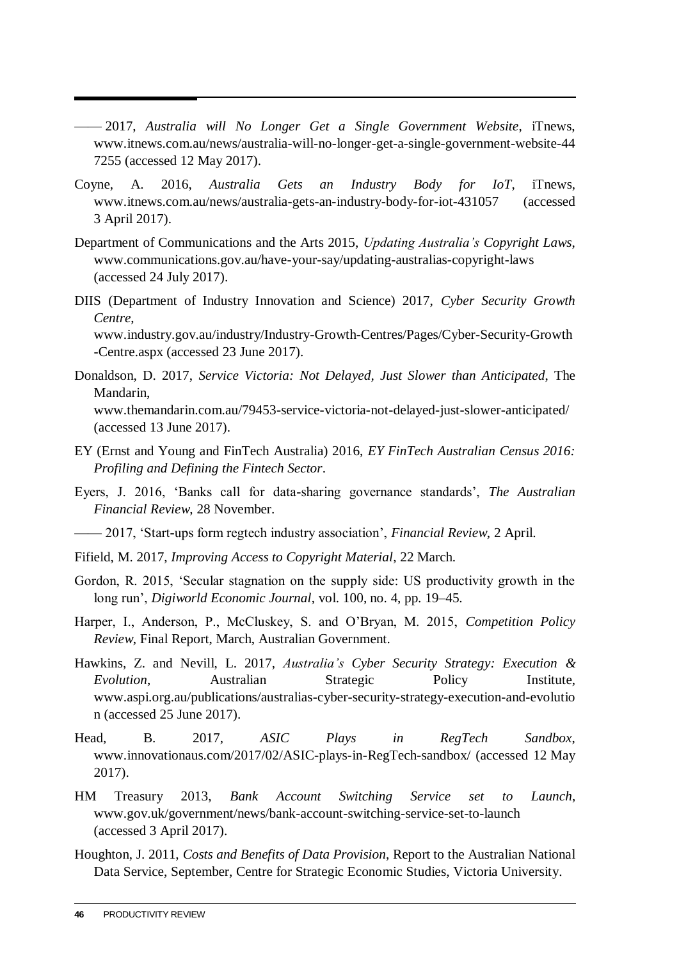- —— 2017, *Australia will No Longer Get a Single Government Website*, iTnews, www.itnews.com.au/news/australia-will-no-longer-get-a-single-government-website-44 7255 (accessed 12 May 2017).
- Coyne, A. 2016, *Australia Gets an Industry Body for IoT*, iTnews, www.itnews.com.au/news/australia-gets-an-industry-body-for-iot-431057 (accessed 3 April 2017).
- Department of Communications and the Arts 2015, *Updating Australia's Copyright Laws*, www.communications.gov.au/have-your-say/updating-australias-copyright-laws (accessed 24 July 2017).
- DIIS (Department of Industry Innovation and Science) 2017, *Cyber Security Growth Centre*, www.industry.gov.au/industry/Industry-Growth-Centres/Pages/Cyber-Security-Growth

-Centre.aspx (accessed 23 June 2017).

- Donaldson, D. 2017, *Service Victoria: Not Delayed, Just Slower than Anticipated*, The Mandarin, www.themandarin.com.au/79453-service-victoria-not-delayed-just-slower-anticipated/ (accessed 13 June 2017).
- EY (Ernst and Young and FinTech Australia) 2016, *EY FinTech Australian Census 2016: Profiling and Defining the Fintech Sector*.
- Eyers, J. 2016, 'Banks call for data-sharing governance standards', *The Australian Financial Review*, 28 November.
- —— 2017, 'Start-ups form regtech industry association', *Financial Review*, 2 April.
- Fifield, M. 2017, *Improving Access to Copyright Material*, 22 March.
- Gordon, R. 2015, 'Secular stagnation on the supply side: US productivity growth in the long run', *Digiworld Economic Journal*, vol. 100, no. 4, pp. 19–45.
- Harper, I., Anderson, P., McCluskey, S. and O'Bryan, M. 2015, *Competition Policy Review*, Final Report, March, Australian Government.
- Hawkins, Z. and Nevill, L. 2017, *Australia's Cyber Security Strategy: Execution & Evolution*, Australian Strategic Policy Institute, www.aspi.org.au/publications/australias-cyber-security-strategy-execution-and-evolutio n (accessed 25 June 2017).
- Head, B. 2017, *ASIC Plays in RegTech Sandbox*, www.innovationaus.com/2017/02/ASIC-plays-in-RegTech-sandbox/ (accessed 12 May 2017).
- HM Treasury 2013, *Bank Account Switching Service set to Launch*, www.gov.uk/government/news/bank-account-switching-service-set-to-launch (accessed 3 April 2017).
- Houghton, J. 2011, *Costs and Benefits of Data Provision*, Report to the Australian National Data Service, September, Centre for Strategic Economic Studies, Victoria University.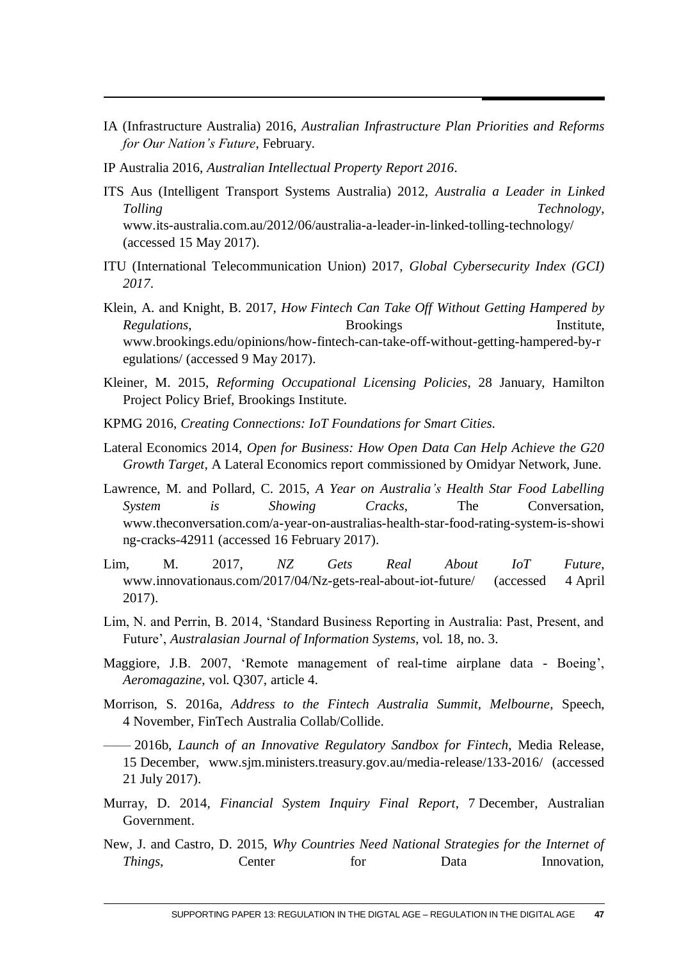- IA (Infrastructure Australia) 2016, *Australian Infrastructure Plan Priorities and Reforms for Our Nation's Future*, February.
- IP Australia 2016, *Australian Intellectual Property Report 2016*.
- ITS Aus (Intelligent Transport Systems Australia) 2012, *Australia a Leader in Linked Tolling Technology*, www.its-australia.com.au/2012/06/australia-a-leader-in-linked-tolling-technology/ (accessed 15 May 2017).
- ITU (International Telecommunication Union) 2017, *Global Cybersecurity Index (GCI) 2017*.
- Klein, A. and Knight, B. 2017, *How Fintech Can Take Off Without Getting Hampered by Regulations*, Brookings **Institute**, www.brookings.edu/opinions/how-fintech-can-take-off-without-getting-hampered-by-r egulations/ (accessed 9 May 2017).
- Kleiner, M. 2015, *Reforming Occupational Licensing Policies*, 28 January, Hamilton Project Policy Brief, Brookings Institute.
- KPMG 2016, *Creating Connections: IoT Foundations for Smart Cities*.
- Lateral Economics 2014, *Open for Business: How Open Data Can Help Achieve the G20 Growth Target*, A Lateral Economics report commissioned by Omidyar Network, June.
- Lawrence, M. and Pollard, C. 2015, *A Year on Australia's Health Star Food Labelling System is Showing Cracks*, The Conversation, www.theconversation.com/a-year-on-australias-health-star-food-rating-system-is-showi ng-cracks-42911 (accessed 16 February 2017).
- Lim, M. 2017, *NZ Gets Real About IoT Future*, www.innovationaus.com/2017/04/Nz-gets-real-about-iot-future/ (accessed 4 April 2017).
- Lim, N. and Perrin, B. 2014, 'Standard Business Reporting in Australia: Past, Present, and Future', *Australasian Journal of Information Systems*, vol. 18, no. 3.
- Maggiore, J.B. 2007, 'Remote management of real-time airplane data Boeing', *Aeromagazine*, vol. Q307, article 4.
- Morrison, S. 2016a, *Address to the Fintech Australia Summit, Melbourne*, Speech, 4 November, FinTech Australia Collab/Collide.

—— 2016b, *Launch of an Innovative Regulatory Sandbox for Fintech*, Media Release, 15 December, www.sjm.ministers.treasury.gov.au/media-release/133-2016/ (accessed 21 July 2017).

- Murray, D. 2014, *Financial System Inquiry Final Report*, 7 December, Australian Government.
- New, J. and Castro, D. 2015, *Why Countries Need National Strategies for the Internet of Things*, Center for Data Innovation,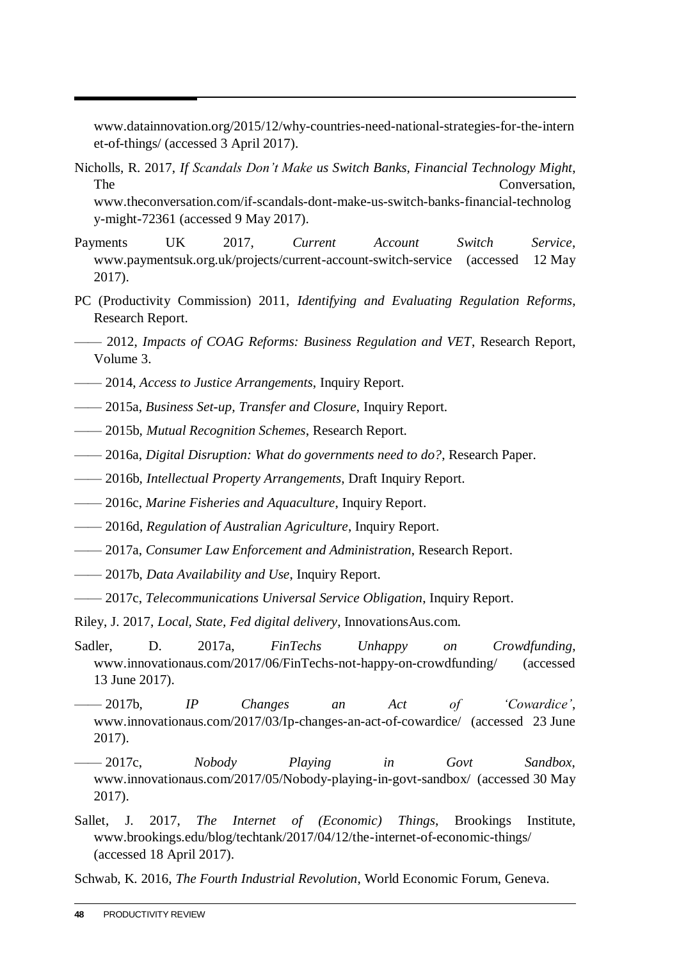www.datainnovation.org/2015/12/why-countries-need-national-strategies-for-the-intern et-of-things/ (accessed 3 April 2017).

- Nicholls, R. 2017, *If Scandals Don't Make us Switch Banks, Financial Technology Might*, The Conversation, www.theconversation.com/if-scandals-dont-make-us-switch-banks-financial-technolog y-might-72361 (accessed 9 May 2017).
- Payments UK 2017, *Current Account Switch Service*, www.paymentsuk.org.uk/projects/current-account-switch-service (accessed 12 May 2017).
- PC (Productivity Commission) 2011, *Identifying and Evaluating Regulation Reforms*, Research Report.
- —— 2012, *Impacts of COAG Reforms: Business Regulation and VET*, Research Report, Volume 3.
- —— 2014, *Access to Justice Arrangements*, Inquiry Report.
- —— 2015a, *Business Set-up, Transfer and Closure*, Inquiry Report.
- —— 2015b, *Mutual Recognition Schemes*, Research Report.
- —— 2016a, *Digital Disruption: What do governments need to do?*, Research Paper.
- —— 2016b, *Intellectual Property Arrangements*, Draft Inquiry Report.
- —— 2016c, *Marine Fisheries and Aquaculture*, Inquiry Report.
- —— 2016d, *Regulation of Australian Agriculture*, Inquiry Report.
- —— 2017a, *Consumer Law Enforcement and Administration*, Research Report.
- —— 2017b, *Data Availability and Use*, Inquiry Report.
- —— 2017c, *Telecommunications Universal Service Obligation*, Inquiry Report.

Riley, J. 2017, *Local, State, Fed digital delivery*, InnovationsAus.com.

- Sadler, D. 2017a, *FinTechs Unhappy on Crowdfunding*, www.innovationaus.com/2017/06/FinTechs-not-happy-on-crowdfunding/ (accessed 13 June 2017).
- —— 2017b, *IP Changes an Act of 'Cowardice'*, www.innovationaus.com/2017/03/Ip-changes-an-act-of-cowardice/ (accessed 23 June 2017).
- —— 2017c, *Nobody Playing in Govt Sandbox*, www.innovationaus.com/2017/05/Nobody-playing-in-govt-sandbox/ (accessed 30 May 2017).
- Sallet, J. 2017, *The Internet of (Economic) Things*, Brookings Institute, www.brookings.edu/blog/techtank/2017/04/12/the-internet-of-economic-things/ (accessed 18 April 2017).

Schwab, K. 2016, *The Fourth Industrial Revolution*, World Economic Forum, Geneva.